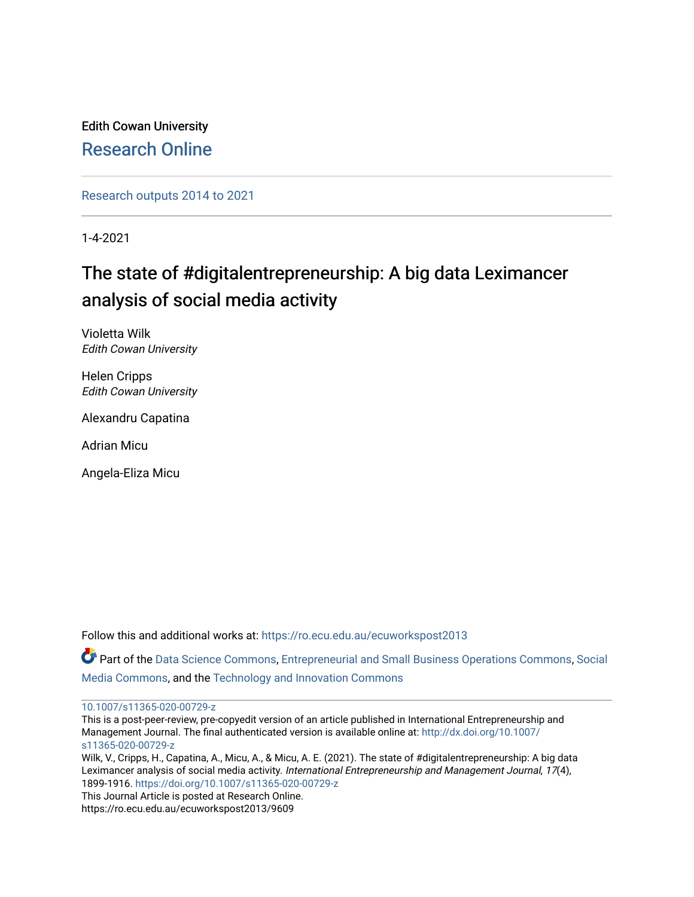Edith Cowan University [Research Online](https://ro.ecu.edu.au/) 

[Research outputs 2014 to 2021](https://ro.ecu.edu.au/ecuworkspost2013) 

1-4-2021

# The state of #digitalentrepreneurship: A big data Leximancer analysis of social media activity

Violetta Wilk Edith Cowan University

Helen Cripps Edith Cowan University

Alexandru Capatina

Adrian Micu

Angela-Eliza Micu

Follow this and additional works at: [https://ro.ecu.edu.au/ecuworkspost2013](https://ro.ecu.edu.au/ecuworkspost2013?utm_source=ro.ecu.edu.au%2Fecuworkspost2013%2F9609&utm_medium=PDF&utm_campaign=PDFCoverPages) 

Part of the [Data Science Commons,](https://network.bepress.com/hgg/discipline/1429?utm_source=ro.ecu.edu.au%2Fecuworkspost2013%2F9609&utm_medium=PDF&utm_campaign=PDFCoverPages) [Entrepreneurial and Small Business Operations Commons,](https://network.bepress.com/hgg/discipline/630?utm_source=ro.ecu.edu.au%2Fecuworkspost2013%2F9609&utm_medium=PDF&utm_campaign=PDFCoverPages) [Social](https://network.bepress.com/hgg/discipline/1249?utm_source=ro.ecu.edu.au%2Fecuworkspost2013%2F9609&utm_medium=PDF&utm_campaign=PDFCoverPages) [Media Commons](https://network.bepress.com/hgg/discipline/1249?utm_source=ro.ecu.edu.au%2Fecuworkspost2013%2F9609&utm_medium=PDF&utm_campaign=PDFCoverPages), and the [Technology and Innovation Commons](https://network.bepress.com/hgg/discipline/644?utm_source=ro.ecu.edu.au%2Fecuworkspost2013%2F9609&utm_medium=PDF&utm_campaign=PDFCoverPages) 

[10.1007/s11365-020-00729-z](http://dx.doi.org/10.1007/s11365-020-00729-z) 

This is a post-peer-review, pre-copyedit version of an article published in International Entrepreneurship and Management Journal. The final authenticated version is available online at: [http://dx.doi.org/10.1007/](http://dx.doi.org/10.1007/s11365-020-00729-z) [s11365-020-00729-z](http://dx.doi.org/10.1007/s11365-020-00729-z)

Wilk, V., Cripps, H., Capatina, A., Micu, A., & Micu, A. E. (2021). The state of #digitalentrepreneurship: A big data Leximancer analysis of social media activity. International Entrepreneurship and Management Journal, 17(4), 1899-1916. <https://doi.org/10.1007/s11365-020-00729-z>

This Journal Article is posted at Research Online. https://ro.ecu.edu.au/ecuworkspost2013/9609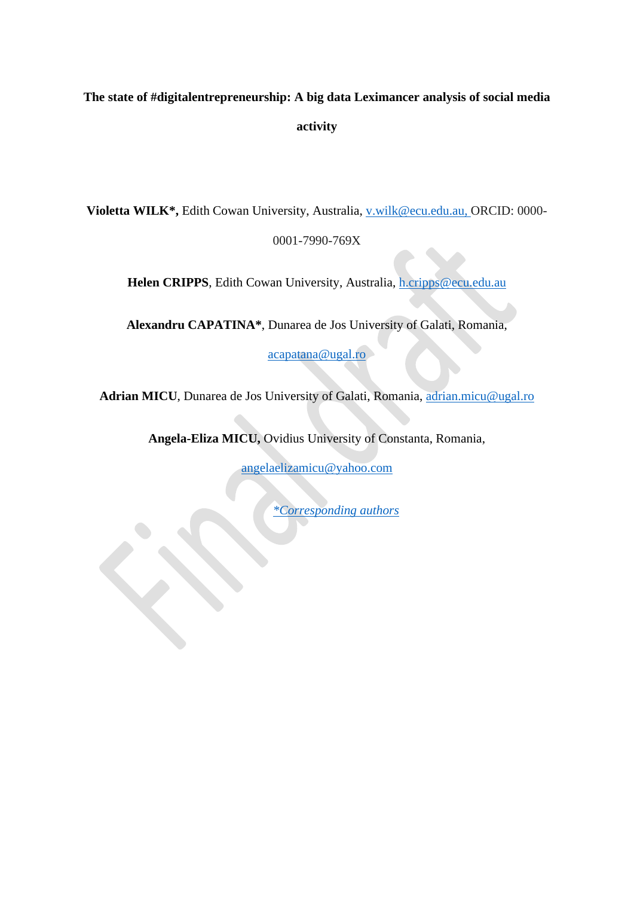# **The state of #digitalentrepreneurship: A big data Leximancer analysis of social media activity**

**Violetta WILK\*,** Edith Cowan University, Australia, [v.wilk@ecu.edu.au,](mailto:v.wilk@ecu.edu.au) ORCID: 0000-

0001-7990-769X

**Helen CRIPPS**, Edith Cowan University, Australia, [h.cripps@ecu.edu.au](mailto:h.cripps@ecu.edu.au)

**Alexandru CAPATINA\***, Dunarea de Jos University of Galati, Romania,

[acapatana@ugal.ro](mailto:acapatana@ugal.ro)

Adrian MICU, Dunarea de Jos University of Galati, Romania, [adrian.micu@ugal.ro](mailto:adrian.micu@ugal.ro)

**Angela-Eliza MICU,** Ovidius University of Constanta, Romania,

[angelaelizamicu@yahoo.com](mailto:angelaelizamicu@yahoo.com)

*\*Corresponding authors*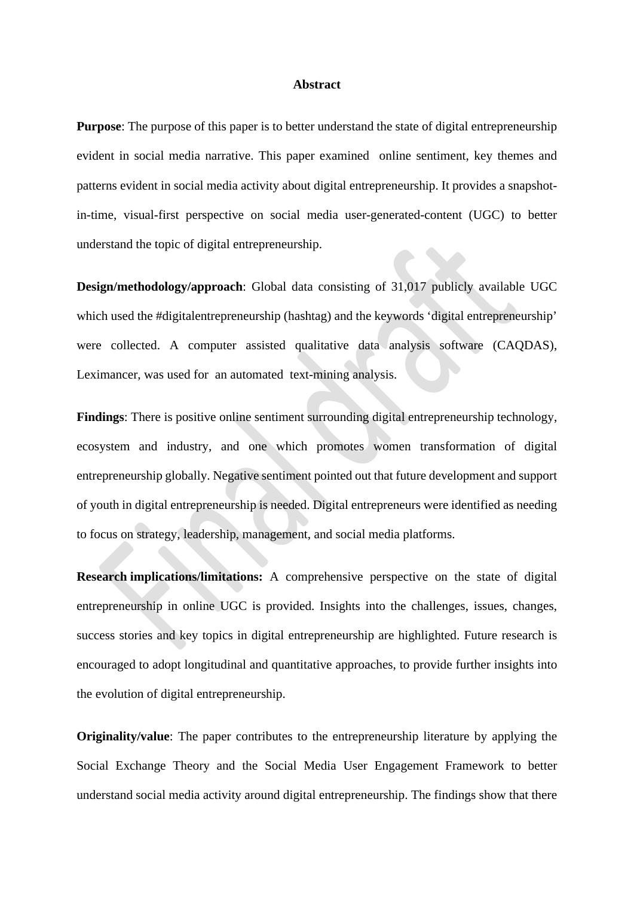#### **Abstract**

**Purpose**: The purpose of this paper is to better understand the state of digital entrepreneurship evident in social media narrative. This paper examined online sentiment, key themes and patterns evident in social media activity about digital entrepreneurship. It provides a snapshotin-time, visual-first perspective on social media user-generated-content (UGC) to better understand the topic of digital entrepreneurship.

**Design/methodology/approach**: Global data consisting of 31,017 publicly available UGC which used the #digitalentrepreneurship (hashtag) and the keywords 'digital entrepreneurship' were collected. A computer assisted qualitative data analysis software (CAQDAS), Leximancer, was used for an automated text-mining analysis.

**Findings**: There is positive online sentiment surrounding digital entrepreneurship technology, ecosystem and industry, and one which promotes women transformation of digital entrepreneurship globally. Negative sentiment pointed out that future development and support of youth in digital entrepreneurship is needed. Digital entrepreneurs were identified as needing to focus on strategy, leadership, management, and social media platforms.

**Research implications/limitations:** A comprehensive perspective on the state of digital entrepreneurship in online UGC is provided. Insights into the challenges, issues, changes, success stories and key topics in digital entrepreneurship are highlighted. Future research is encouraged to adopt longitudinal and quantitative approaches, to provide further insights into the evolution of digital entrepreneurship.

**Originality/value**: The paper contributes to the entrepreneurship literature by applying the Social Exchange Theory and the Social Media User Engagement Framework to better understand social media activity around digital entrepreneurship. The findings show that there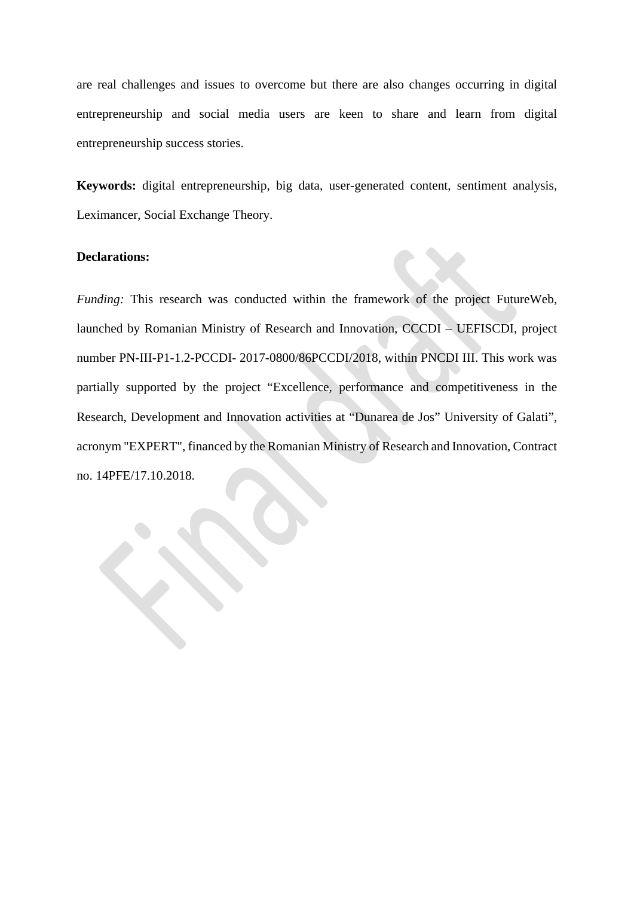are real challenges and issues to overcome but there are also changes occurring in digital entrepreneurship and social media users are keen to share and learn from digital entrepreneurship success stories.

**Keywords:** digital entrepreneurship, big data, user-generated content, sentiment analysis, Leximancer, Social Exchange Theory.

## **Declarations:**

*Funding:* This research was conducted within the framework of the project FutureWeb, launched by Romanian Ministry of Research and Innovation, CCCDI – UEFISCDI, project number PN-III-P1-1.2-PCCDI- 2017-0800/86PCCDI/2018, within PNCDI III. This work was partially supported by the project "Excellence, performance and competitiveness in the Research, Development and Innovation activities at "Dunarea de Jos" University of Galati", acronym "EXPERT", financed by the Romanian Ministry of Research and Innovation, Contract no. 14PFE/17.10.2018.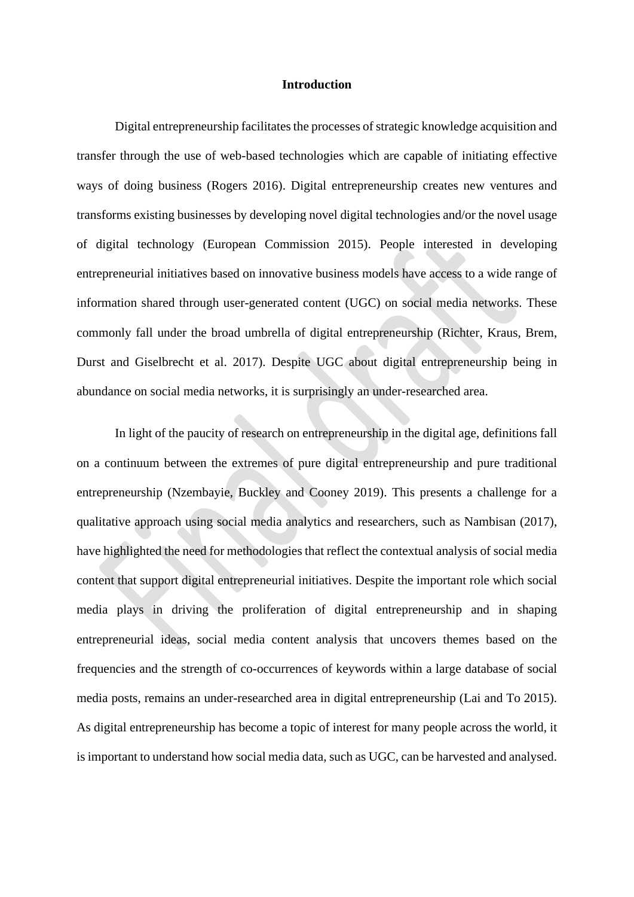#### **Introduction**

Digital entrepreneurship facilitates the processes of strategic knowledge acquisition and transfer through the use of web-based technologies which are capable of initiating effective ways of doing business (Rogers 2016). Digital entrepreneurship creates new ventures and transforms existing businesses by developing novel digital technologies and/or the novel usage of digital technology (European Commission 2015). People interested in developing entrepreneurial initiatives based on innovative business models have access to a wide range of information shared through user-generated content (UGC) on social media networks. These commonly fall under the broad umbrella of digital entrepreneurship (Richter, Kraus, Brem, Durst and Giselbrecht et al. 2017). Despite UGC about digital entrepreneurship being in abundance on social media networks, it is surprisingly an under-researched area.

In light of the paucity of research on entrepreneurship in the digital age, definitions fall on a continuum between the extremes of pure digital entrepreneurship and pure traditional entrepreneurship (Nzembayie, Buckley and Cooney 2019). This presents a challenge for a qualitative approach using social media analytics and researchers, such as Nambisan (2017), have highlighted the need for methodologies that reflect the contextual analysis of social media content that support digital entrepreneurial initiatives. Despite the important role which social media plays in driving the proliferation of digital entrepreneurship and in shaping entrepreneurial ideas, social media content analysis that uncovers themes based on the frequencies and the strength of co-occurrences of keywords within a large database of social media posts, remains an under-researched area in digital entrepreneurship (Lai and To 2015). As digital entrepreneurship has become a topic of interest for many people across the world, it is important to understand how social media data, such as UGC, can be harvested and analysed.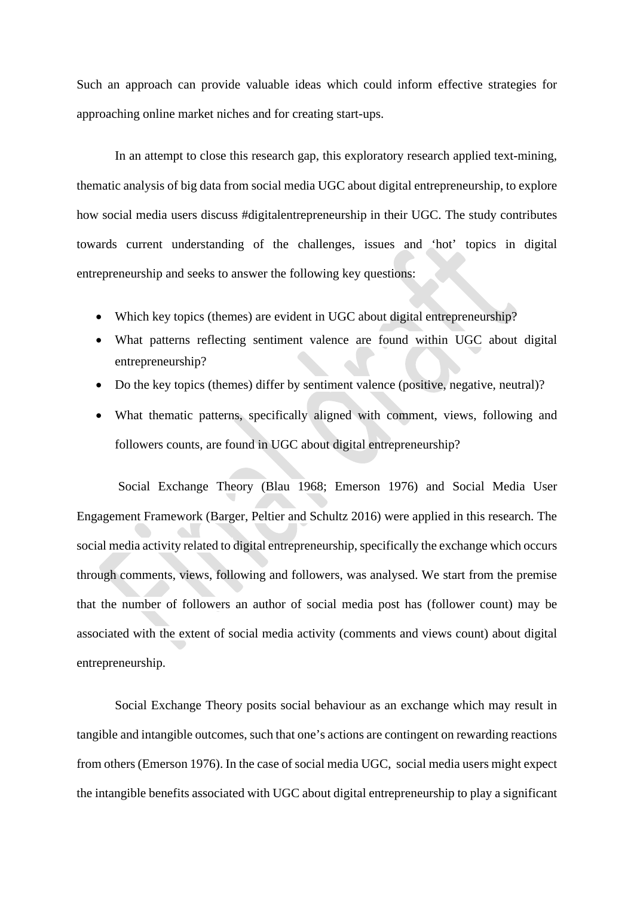Such an approach can provide valuable ideas which could inform effective strategies for approaching online market niches and for creating start-ups.

In an attempt to close this research gap, this exploratory research applied text-mining, thematic analysis of big data from social media UGC about digital entrepreneurship, to explore how social media users discuss #digitalentrepreneurship in their UGC. The study contributes towards current understanding of the challenges, issues and 'hot' topics in digital entrepreneurship and seeks to answer the following key questions:

- Which key topics (themes) are evident in UGC about digital entrepreneurship?
- What patterns reflecting sentiment valence are found within UGC about digital entrepreneurship?
- Do the key topics (themes) differ by sentiment valence (positive, negative, neutral)?
- What thematic patterns, specifically aligned with comment, views, following and followers counts, are found in UGC about digital entrepreneurship?

Social Exchange Theory (Blau 1968; Emerson 1976) and Social Media User Engagement Framework (Barger, Peltier and Schultz 2016) were applied in this research. The social media activity related to digital entrepreneurship, specifically the exchange which occurs through comments, views, following and followers, was analysed. We start from the premise that the number of followers an author of social media post has (follower count) may be associated with the extent of social media activity (comments and views count) about digital entrepreneurship.

Social Exchange Theory posits social behaviour as an exchange which may result in tangible and intangible outcomes, such that one's actions are contingent on rewarding reactions from others (Emerson 1976). In the case of social media UGC, social media users might expect the intangible benefits associated with UGC about digital entrepreneurship to play a significant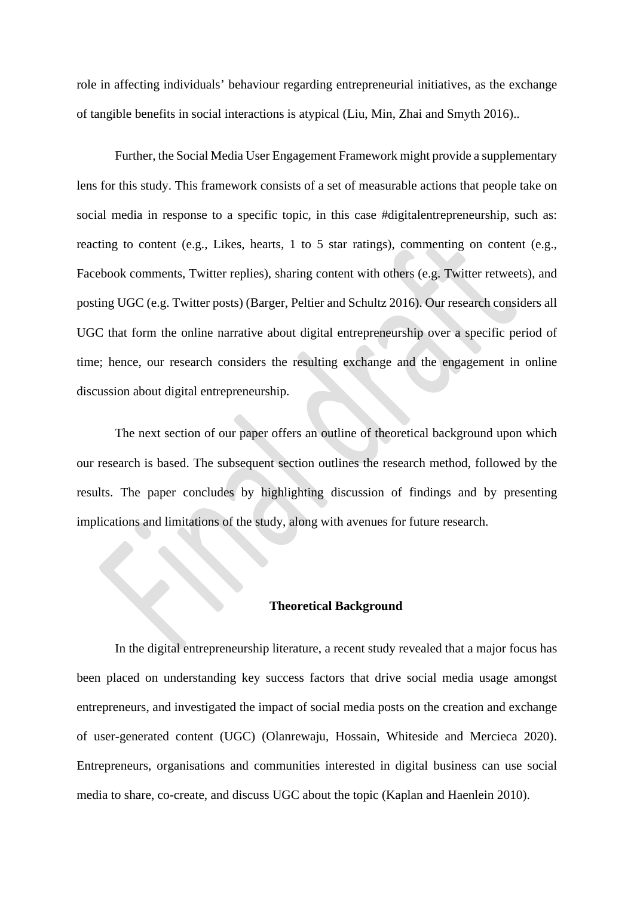role in affecting individuals' behaviour regarding entrepreneurial initiatives, as the exchange of tangible benefits in social interactions is atypical (Liu, Min, Zhai and Smyth 2016)..

Further, the Social Media User Engagement Framework might provide a supplementary lens for this study. This framework consists of a set of measurable actions that people take on social media in response to a specific topic, in this case #digitalentrepreneurship, such as: reacting to content (e.g., Likes, hearts, 1 to 5 star ratings), commenting on content (e.g., Facebook comments, Twitter replies), sharing content with others (e.g. Twitter retweets), and posting UGC (e.g. Twitter posts) (Barger, Peltier and Schultz 2016). Our research considers all UGC that form the online narrative about digital entrepreneurship over a specific period of time; hence, our research considers the resulting exchange and the engagement in online discussion about digital entrepreneurship.

The next section of our paper offers an outline of theoretical background upon which our research is based. The subsequent section outlines the research method, followed by the results. The paper concludes by highlighting discussion of findings and by presenting implications and limitations of the study, along with avenues for future research.

#### **Theoretical Background**

In the digital entrepreneurship literature, a recent study revealed that a major focus has been placed on understanding key success factors that drive social media usage amongst entrepreneurs, and investigated the impact of social media posts on the creation and exchange of user-generated content (UGC) (Olanrewaju, Hossain, Whiteside and Mercieca 2020). Entrepreneurs, organisations and communities interested in digital business can use social media to share, co-create, and discuss UGC about the topic (Kaplan and Haenlein 2010).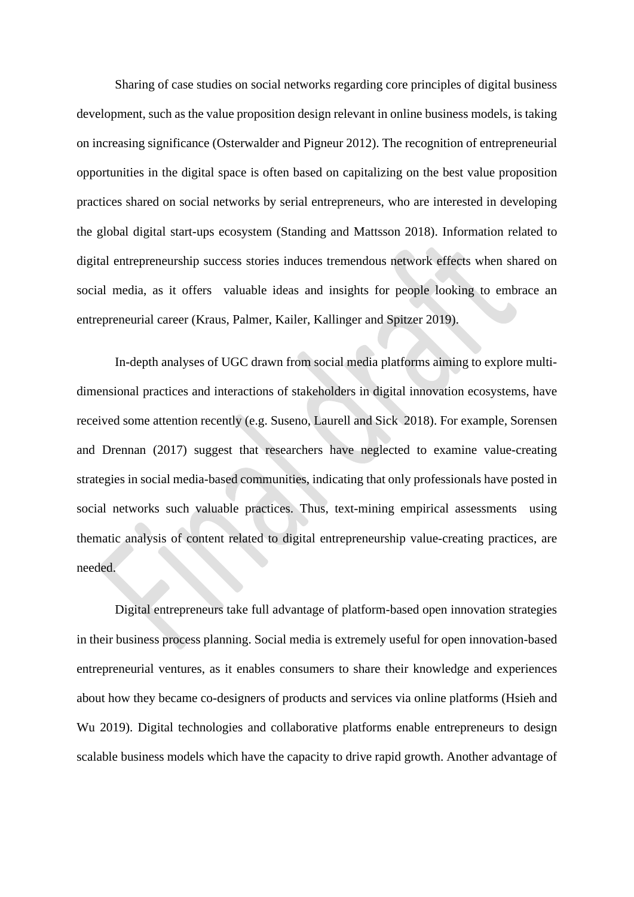Sharing of case studies on social networks regarding core principles of digital business development, such as the value proposition design relevant in online business models, is taking on increasing significance (Osterwalder and Pigneur 2012). The recognition of entrepreneurial opportunities in the digital space is often based on capitalizing on the best value proposition practices shared on social networks by serial entrepreneurs, who are interested in developing the global digital start-ups ecosystem (Standing and Mattsson 2018). Information related to digital entrepreneurship success stories induces tremendous network effects when shared on social media, as it offers valuable ideas and insights for people looking to embrace an entrepreneurial career (Kraus, Palmer, Kailer, Kallinger and Spitzer 2019).

In-depth analyses of UGC drawn from social media platforms aiming to explore multidimensional practices and interactions of stakeholders in digital innovation ecosystems, have received some attention recently (e.g. Suseno, Laurell and Sick 2018). For example, Sorensen and Drennan (2017) suggest that researchers have neglected to examine value-creating strategies in social media-based communities, indicating that only professionals have posted in social networks such valuable practices. Thus, text-mining empirical assessments using thematic analysis of content related to digital entrepreneurship value-creating practices, are needed.

Digital entrepreneurs take full advantage of platform-based open innovation strategies in their business process planning. Social media is extremely useful for open innovation-based entrepreneurial ventures, as it enables consumers to share their knowledge and experiences about how they became co-designers of products and services via online platforms (Hsieh and Wu 2019). Digital technologies and collaborative platforms enable entrepreneurs to design scalable business models which have the capacity to drive rapid growth. Another advantage of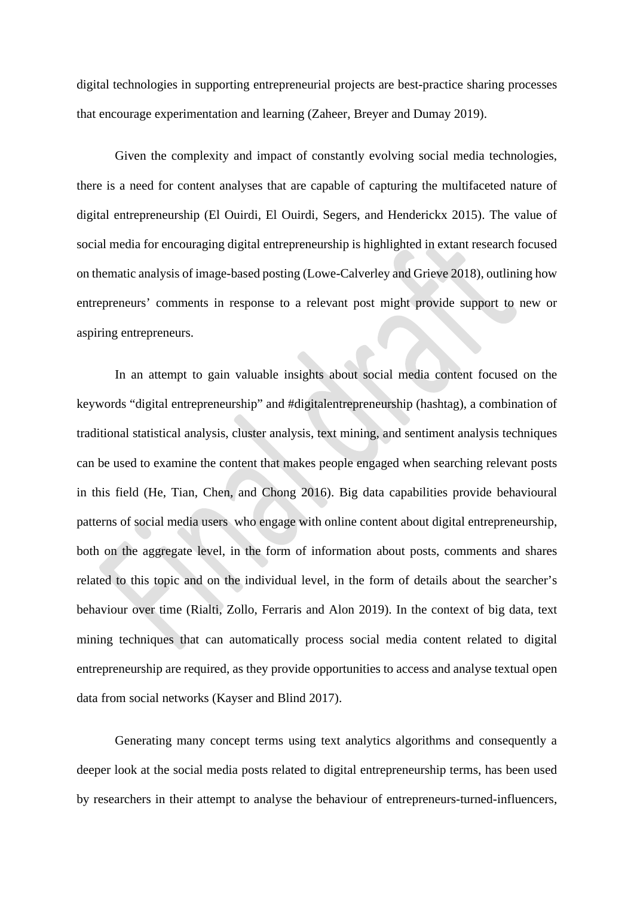digital technologies in supporting entrepreneurial projects are best-practice sharing processes that encourage experimentation and learning (Zaheer, Breyer and Dumay 2019).

Given the complexity and impact of constantly evolving social media technologies, there is a need for content analyses that are capable of capturing the multifaceted nature of digital entrepreneurship (El Ouirdi, El Ouirdi, Segers, and Henderickx 2015). The value of social media for encouraging digital entrepreneurship is highlighted in extant research focused on thematic analysis of image-based posting (Lowe-Calverley and Grieve 2018), outlining how entrepreneurs' comments in response to a relevant post might provide support to new or aspiring entrepreneurs.

In an attempt to gain valuable insights about social media content focused on the keywords "digital entrepreneurship" and #digitalentrepreneurship (hashtag), a combination of traditional statistical analysis, cluster analysis, text mining, and sentiment analysis techniques can be used to examine the content that makes people engaged when searching relevant posts in this field (He, Tian, Chen, and Chong 2016). Big data capabilities provide behavioural patterns of social media users who engage with online content about digital entrepreneurship, both on the aggregate level, in the form of information about posts, comments and shares related to this topic and on the individual level, in the form of details about the searcher's behaviour over time (Rialti, Zollo, Ferraris and Alon 2019). In the context of big data, text mining techniques that can automatically process social media content related to digital entrepreneurship are required, as they provide opportunities to access and analyse textual open data from social networks (Kayser and Blind 2017).

Generating many concept terms using text analytics algorithms and consequently a deeper look at the social media posts related to digital entrepreneurship terms, has been used by researchers in their attempt to analyse the behaviour of entrepreneurs-turned-influencers,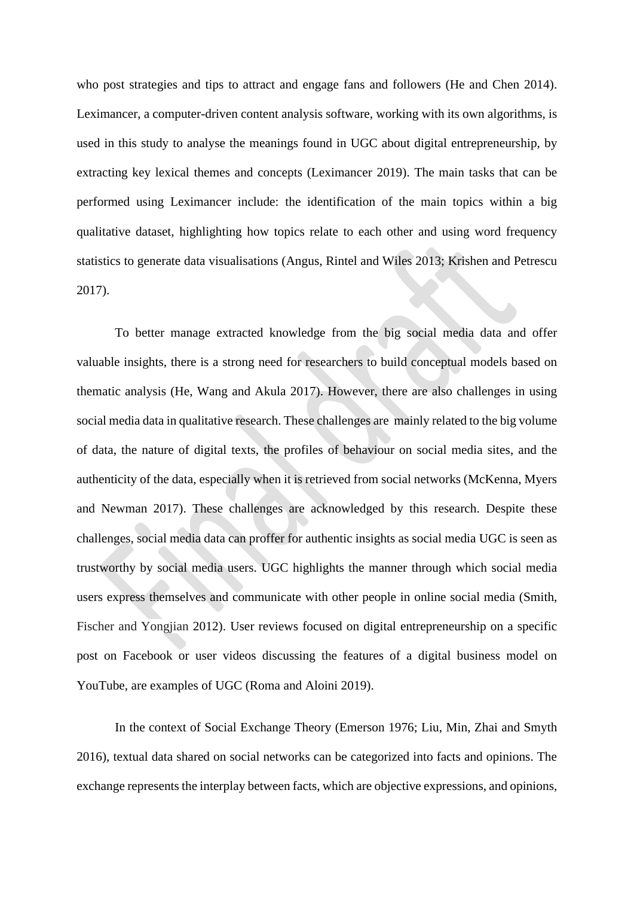who post strategies and tips to attract and engage fans and followers (He and Chen 2014). Leximancer, a computer-driven content analysis software, working with its own algorithms, is used in this study to analyse the meanings found in UGC about digital entrepreneurship, by extracting key lexical themes and concepts (Leximancer 2019). The main tasks that can be performed using Leximancer include: the identification of the main topics within a big qualitative dataset, highlighting how topics relate to each other and using word frequency statistics to generate data visualisations (Angus, Rintel and Wiles 2013; Krishen and Petrescu 2017).

To better manage extracted knowledge from the big social media data and offer valuable insights, there is a strong need for researchers to build conceptual models based on thematic analysis (He, Wang and Akula 2017). However, there are also challenges in using social media data in qualitative research. These challenges are mainly related to the big volume of data, the nature of digital texts, the profiles of behaviour on social media sites, and the authenticity of the data, especially when it is retrieved from social networks (McKenna, Myers and Newman 2017). These challenges are acknowledged by this research. Despite these challenges, social media data can proffer for authentic insights as social media UGC is seen as trustworthy by social media users. UGC highlights the manner through which social media users express themselves and communicate with other people in online social media (Smith, Fischer and Yongjian 2012). User reviews focused on digital entrepreneurship on a specific post on Facebook or user videos discussing the features of a digital business model on YouTube, are examples of UGC (Roma and Aloini 2019).

In the context of Social Exchange Theory (Emerson 1976; Liu, Min, Zhai and Smyth 2016), textual data shared on social networks can be categorized into facts and opinions. The exchange represents the interplay between facts, which are objective expressions, and opinions,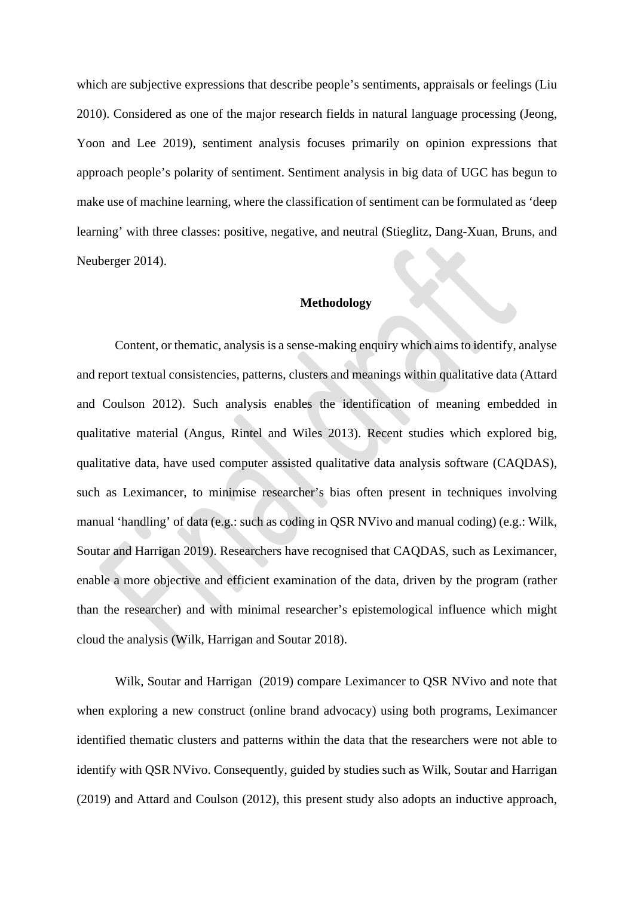which are subjective expressions that describe people's sentiments, appraisals or feelings (Liu 2010). Considered as one of the major research fields in natural language processing (Jeong, Yoon and Lee 2019), sentiment analysis focuses primarily on opinion expressions that approach people's polarity of sentiment. Sentiment analysis in big data of UGC has begun to make use of machine learning, where the classification of sentiment can be formulated as 'deep learning' with three classes: positive, negative, and neutral (Stieglitz, Dang-Xuan, Bruns, and Neuberger 2014).

#### **Methodology**

Content, or thematic, analysis is a sense-making enquiry which aimsto identify, analyse and report textual consistencies, patterns, clusters and meanings within qualitative data (Attard and Coulson 2012). Such analysis enables the identification of meaning embedded in qualitative material (Angus, Rintel and Wiles 2013). Recent studies which explored big, qualitative data, have used computer assisted qualitative data analysis software (CAQDAS), such as Leximancer, to minimise researcher's bias often present in techniques involving manual 'handling' of data (e.g.: such as coding in QSR NVivo and manual coding) (e.g.: Wilk, Soutar and Harrigan 2019). Researchers have recognised that CAQDAS, such as Leximancer, enable a more objective and efficient examination of the data, driven by the program (rather than the researcher) and with minimal researcher's epistemological influence which might cloud the analysis (Wilk, Harrigan and Soutar 2018).

Wilk, Soutar and Harrigan (2019) compare Leximancer to QSR NVivo and note that when exploring a new construct (online brand advocacy) using both programs, Leximancer identified thematic clusters and patterns within the data that the researchers were not able to identify with QSR NVivo. Consequently, guided by studies such as Wilk, Soutar and Harrigan (2019) and Attard and Coulson (2012), this present study also adopts an inductive approach,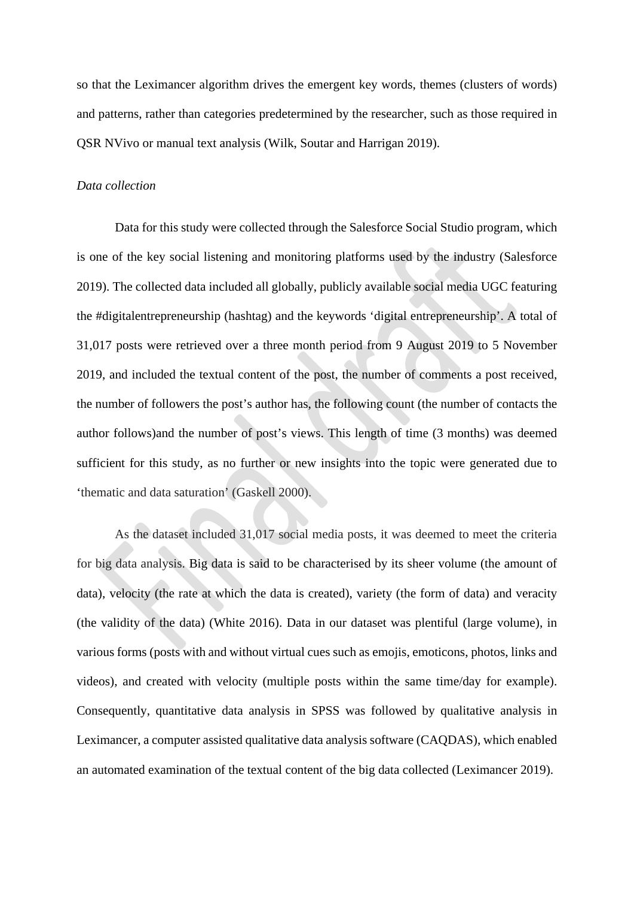so that the Leximancer algorithm drives the emergent key words, themes (clusters of words) and patterns, rather than categories predetermined by the researcher, such as those required in QSR NVivo or manual text analysis (Wilk, Soutar and Harrigan 2019).

#### *Data collection*

Data for this study were collected through the Salesforce Social Studio program, which is one of the key social listening and monitoring platforms used by the industry (Salesforce 2019). The collected data included all globally, publicly available social media UGC featuring the #digitalentrepreneurship (hashtag) and the keywords 'digital entrepreneurship'. A total of 31,017 posts were retrieved over a three month period from 9 August 2019 to 5 November 2019, and included the textual content of the post, the number of comments a post received, the number of followers the post's author has, the following count (the number of contacts the author follows)and the number of post's views. This length of time (3 months) was deemed sufficient for this study, as no further or new insights into the topic were generated due to 'thematic and data saturation' (Gaskell 2000).

As the dataset included 31,017 social media posts, it was deemed to meet the criteria for big data analysis. Big data is said to be characterised by its sheer volume (the amount of data), velocity (the rate at which the data is created), variety (the form of data) and veracity (the validity of the data) (White 2016). Data in our dataset was plentiful (large volume), in various forms (posts with and without virtual cues such as emojis, emoticons, photos, links and videos), and created with velocity (multiple posts within the same time/day for example). Consequently, quantitative data analysis in SPSS was followed by qualitative analysis in Leximancer, a computer assisted qualitative data analysis software (CAQDAS), which enabled an automated examination of the textual content of the big data collected (Leximancer 2019).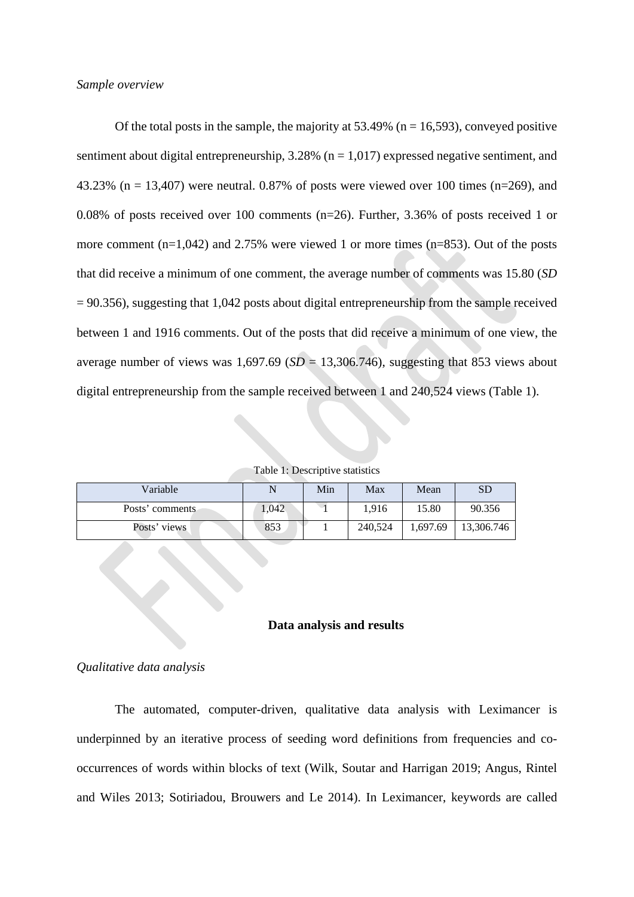Of the total posts in the sample, the majority at  $53.49\%$  (n = 16,593), conveyed positive sentiment about digital entrepreneurship,  $3.28\%$  (n = 1,017) expressed negative sentiment, and 43.23% (n = 13,407) were neutral. 0.87% of posts were viewed over 100 times (n=269), and 0.08% of posts received over 100 comments (n=26). Further, 3.36% of posts received 1 or more comment (n=1,042) and 2.75% were viewed 1 or more times (n=853). Out of the posts that did receive a minimum of one comment, the average number of comments was 15.80 (*SD* = 90.356), suggesting that 1,042 posts about digital entrepreneurship from the sample received between 1 and 1916 comments. Out of the posts that did receive a minimum of one view, the average number of views was  $1,697.69$  (*SD* = 13,306.746), suggesting that 853 views about digital entrepreneurship from the sample received between 1 and 240,524 views (Table 1).

Table 1: Descriptive statistics

| Variable        |       | Min | Max     | Mean     | SD         |
|-----------------|-------|-----|---------|----------|------------|
| Posts' comments | 1.042 |     | 1.916   | 15.80    | 90.356     |
| Posts' views    | 853   |     | 240,524 | 1.697.69 | 13,306.746 |

### **Data analysis and results**

#### *Qualitative data analysis*

The automated, computer-driven, qualitative data analysis with Leximancer is underpinned by an iterative process of seeding word definitions from frequencies and cooccurrences of words within blocks of text (Wilk, Soutar and Harrigan 2019; Angus, Rintel and Wiles 2013; Sotiriadou, Brouwers and Le 2014). In Leximancer, keywords are called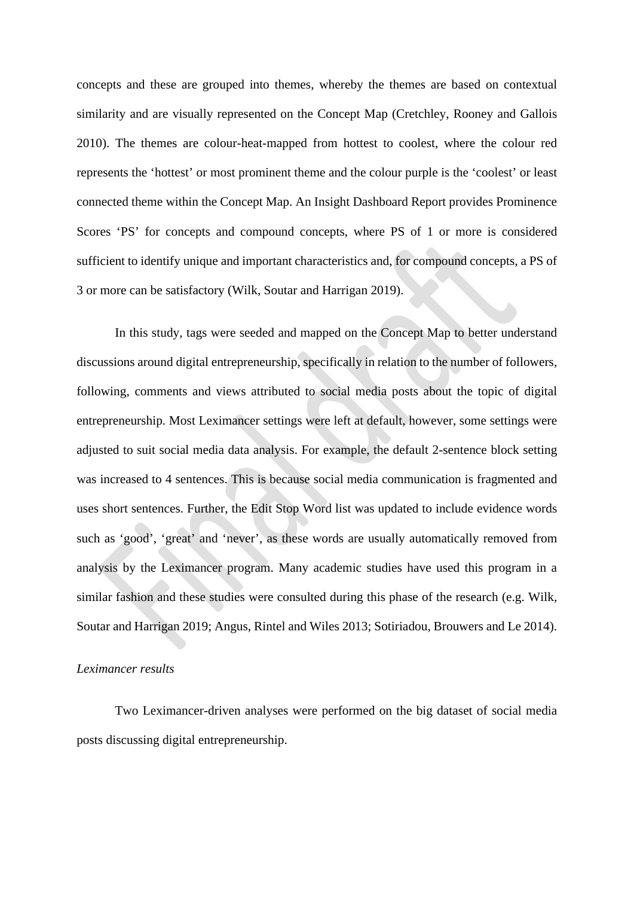concepts and these are grouped into themes, whereby the themes are based on contextual similarity and are visually represented on the Concept Map (Cretchley, Rooney and Gallois 2010). The themes are colour-heat-mapped from hottest to coolest, where the colour red represents the 'hottest' or most prominent theme and the colour purple is the 'coolest' or least connected theme within the Concept Map. An Insight Dashboard Report provides Prominence Scores 'PS' for concepts and compound concepts, where PS of 1 or more is considered sufficient to identify unique and important characteristics and, for compound concepts, a PS of 3 or more can be satisfactory (Wilk, Soutar and Harrigan 2019).

In this study, tags were seeded and mapped on the Concept Map to better understand discussions around digital entrepreneurship, specifically in relation to the number of followers, following, comments and views attributed to social media posts about the topic of digital entrepreneurship. Most Leximancer settings were left at default, however, some settings were adjusted to suit social media data analysis. For example, the default 2-sentence block setting was increased to 4 sentences. This is because social media communication is fragmented and uses short sentences. Further, the Edit Stop Word list was updated to include evidence words such as 'good', 'great' and 'never', as these words are usually automatically removed from analysis by the Leximancer program. Many academic studies have used this program in a similar fashion and these studies were consulted during this phase of the research (e.g. Wilk, Soutar and Harrigan 2019; Angus, Rintel and Wiles 2013; Sotiriadou, Brouwers and Le 2014).

#### *Leximancer results*

Two Leximancer-driven analyses were performed on the big dataset of social media posts discussing digital entrepreneurship.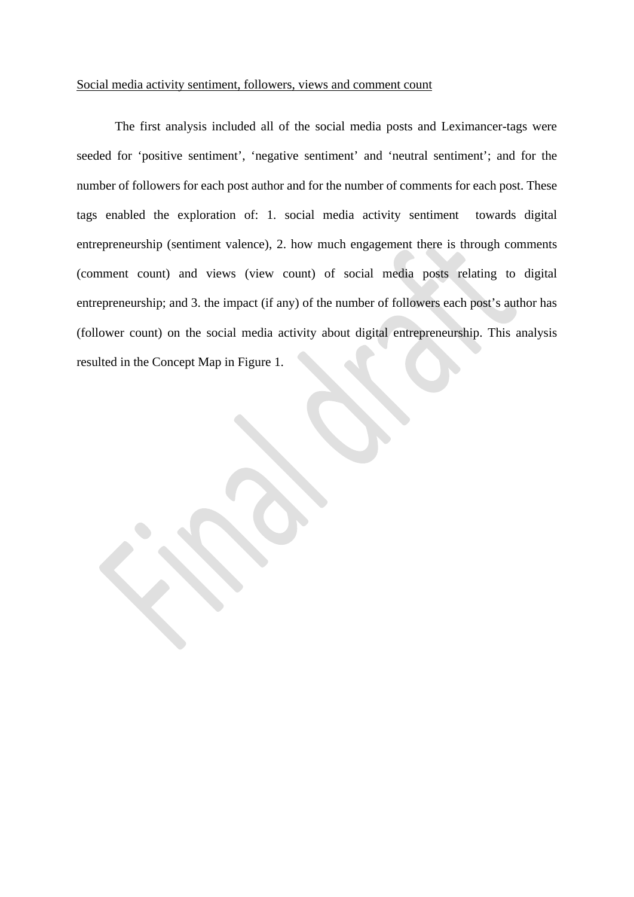### Social media activity sentiment, followers, views and comment count

The first analysis included all of the social media posts and Leximancer-tags were seeded for 'positive sentiment', 'negative sentiment' and 'neutral sentiment'; and for the number of followers for each post author and for the number of comments for each post. These tags enabled the exploration of: 1. social media activity sentiment towards digital entrepreneurship (sentiment valence), 2. how much engagement there is through comments (comment count) and views (view count) of social media posts relating to digital entrepreneurship; and 3. the impact (if any) of the number of followers each post's author has (follower count) on the social media activity about digital entrepreneurship. This analysis resulted in the Concept Map in Figure 1.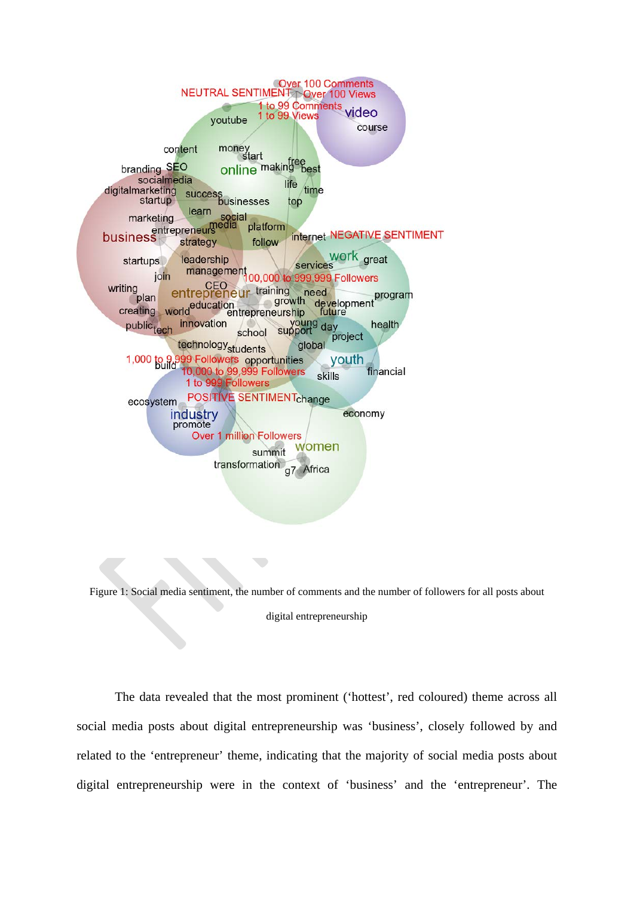

Figure 1: Social media sentiment, the number of comments and the number of followers for all posts about digital entrepreneurship

The data revealed that the most prominent ('hottest', red coloured) theme across all social media posts about digital entrepreneurship was 'business', closely followed by and related to the 'entrepreneur' theme, indicating that the majority of social media posts about digital entrepreneurship were in the context of 'business' and the 'entrepreneur'. The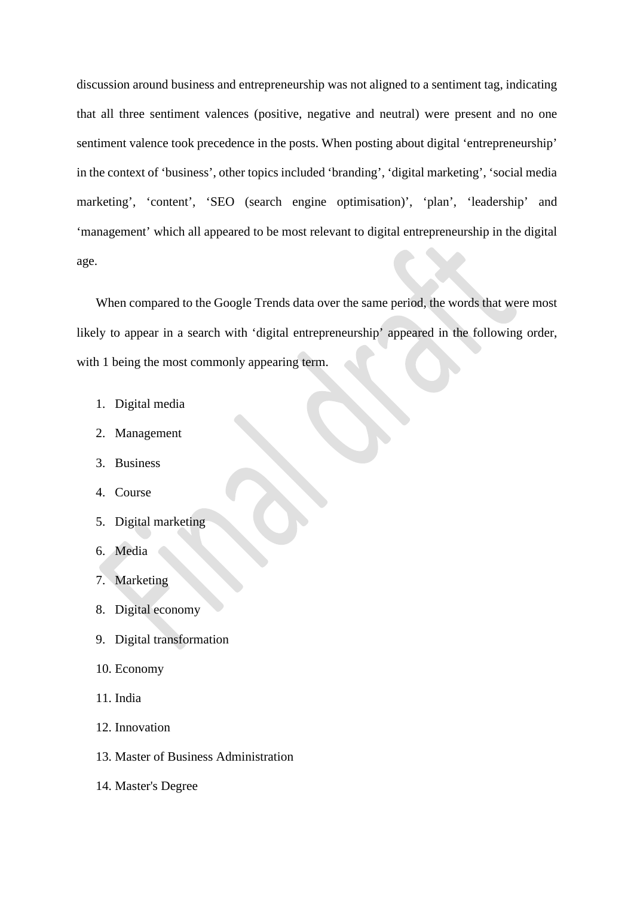discussion around business and entrepreneurship was not aligned to a sentiment tag, indicating that all three sentiment valences (positive, negative and neutral) were present and no one sentiment valence took precedence in the posts. When posting about digital 'entrepreneurship' in the context of 'business', other topics included 'branding', 'digital marketing', 'social media marketing', 'content', 'SEO (search engine optimisation)', 'plan', 'leadership' and 'management' which all appeared to be most relevant to digital entrepreneurship in the digital age.

When compared to the Google Trends data over the same period, the words that were most likely to appear in a search with 'digital entrepreneurship' appeared in the following order, with 1 being the most commonly appearing term.

- 1. Digital media
- 2. Management
- 3. Business
- 4. Course
- 5. Digital marketing
- 6. Media
- 7. Marketing
- 8. Digital economy
- 9. Digital transformation
- 10. Economy
- 11. India
- 12. Innovation
- 13. Master of Business Administration
- 14. Master's Degree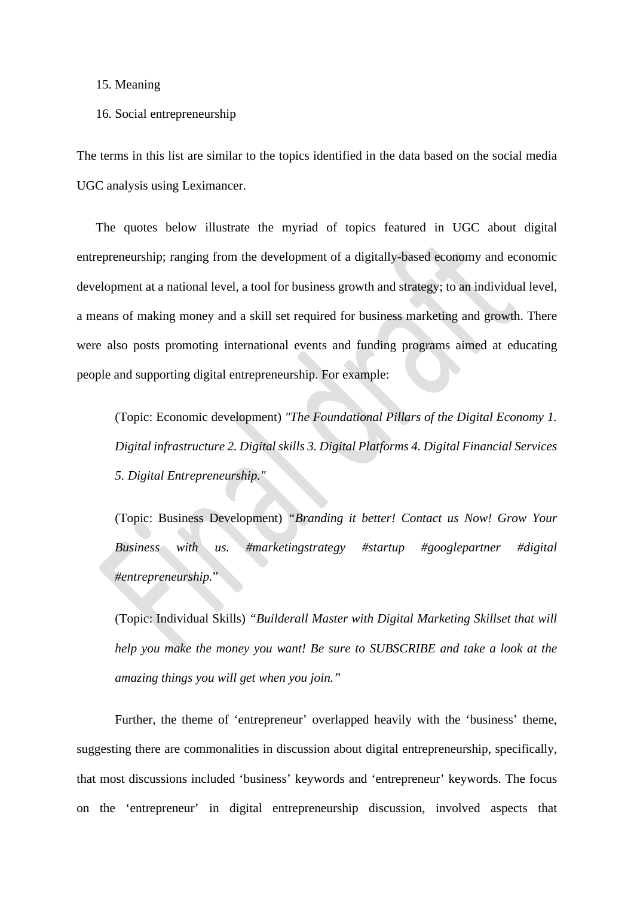### 15. Meaning

#### 16. Social entrepreneurship

The terms in this list are similar to the topics identified in the data based on the social media UGC analysis using Leximancer.

The quotes below illustrate the myriad of topics featured in UGC about digital entrepreneurship; ranging from the development of a digitally-based economy and economic development at a national level, a tool for business growth and strategy; to an individual level, a means of making money and a skill set required for business marketing and growth. There were also posts promoting international events and funding programs aimed at educating people and supporting digital entrepreneurship. For example:

(Topic: Economic development) *"The Foundational Pillars of the Digital Economy 1. Digital infrastructure 2. Digital skills 3. Digital Platforms 4. Digital Financial Services 5. Digital Entrepreneurship."* 

(Topic: Business Development) *"Branding it better! Contact us Now! Grow Your Business with us. #marketingstrategy #startup #googlepartner #digital #entrepreneurship.*"

(Topic: Individual Skills) *"Builderall Master with Digital Marketing Skillset that will help you make the money you want! Be sure to SUBSCRIBE and take a look at the amazing things you will get when you join."*

Further, the theme of 'entrepreneur' overlapped heavily with the 'business' theme, suggesting there are commonalities in discussion about digital entrepreneurship, specifically, that most discussions included 'business' keywords and 'entrepreneur' keywords. The focus on the 'entrepreneur' in digital entrepreneurship discussion, involved aspects that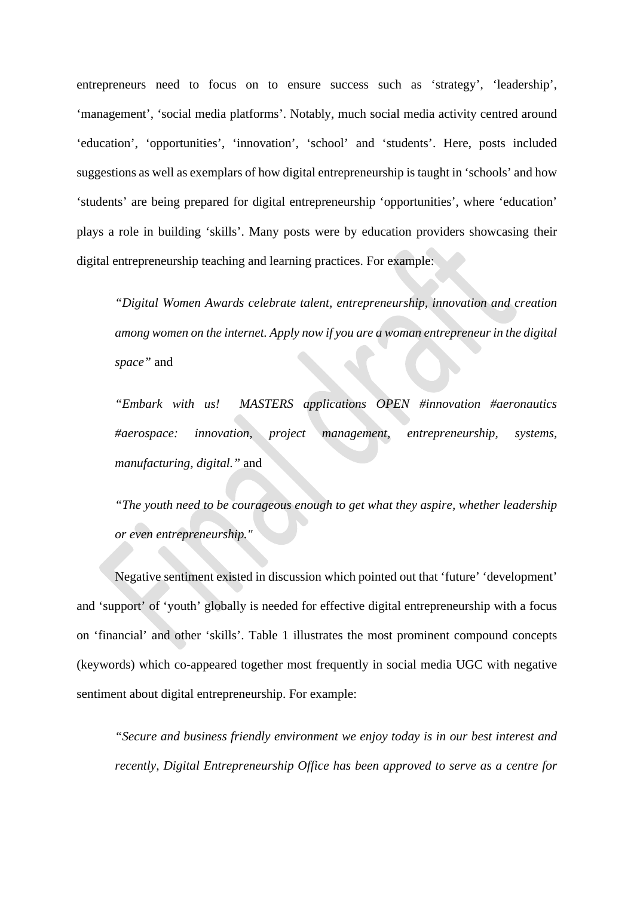entrepreneurs need to focus on to ensure success such as 'strategy', 'leadership', 'management', 'social media platforms'. Notably, much social media activity centred around 'education', 'opportunities', 'innovation', 'school' and 'students'. Here, posts included suggestions as well as exemplars of how digital entrepreneurship is taught in 'schools' and how 'students' are being prepared for digital entrepreneurship 'opportunities', where 'education' plays a role in building 'skills'. Many posts were by education providers showcasing their digital entrepreneurship teaching and learning practices. For example:

*"Digital Women Awards celebrate talent, entrepreneurship, innovation and creation among women on the internet. Apply now if you are a woman entrepreneur in the digital space"* and

*"Embark with us! MASTERS applications OPEN #innovation #aeronautics #aerospace: innovation, project management, entrepreneurship, systems, manufacturing, digital."* and

*"The youth need to be courageous enough to get what they aspire, whether leadership or even entrepreneurship."* 

Negative sentiment existed in discussion which pointed out that 'future' 'development' and 'support' of 'youth' globally is needed for effective digital entrepreneurship with a focus on 'financial' and other 'skills'. Table 1 illustrates the most prominent compound concepts (keywords) which co-appeared together most frequently in social media UGC with negative sentiment about digital entrepreneurship. For example:

*"Secure and business friendly environment we enjoy today is in our best interest and recently, Digital Entrepreneurship Office has been approved to serve as a centre for*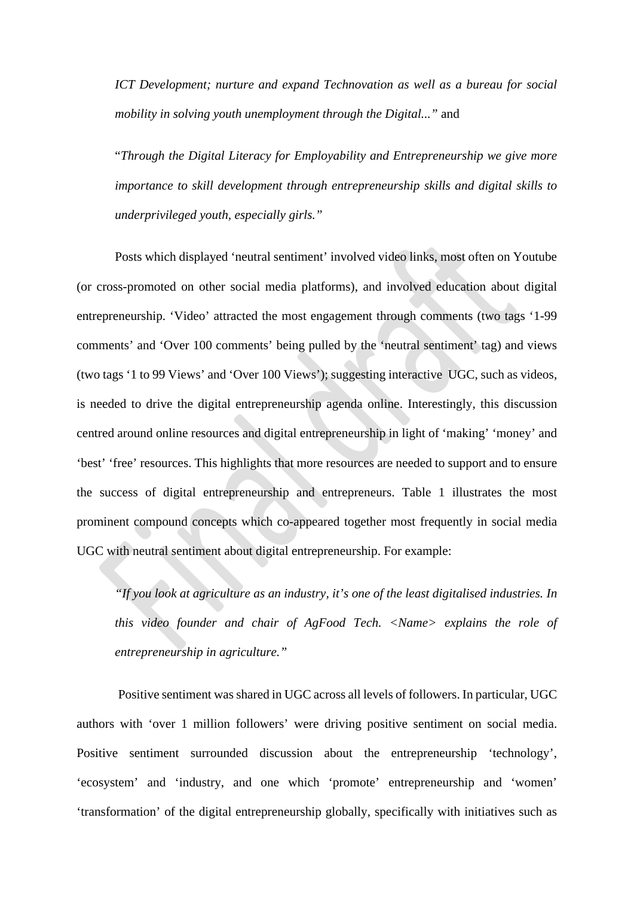*ICT Development; nurture and expand Technovation as well as a bureau for social mobility in solving youth unemployment through the Digital..."* and

"*Through the Digital Literacy for Employability and Entrepreneurship we give more importance to skill development through entrepreneurship skills and digital skills to underprivileged youth, especially girls."*

Posts which displayed 'neutral sentiment' involved video links, most often on Youtube (or cross-promoted on other social media platforms), and involved education about digital entrepreneurship. 'Video' attracted the most engagement through comments (two tags '1-99 comments' and 'Over 100 comments' being pulled by the 'neutral sentiment' tag) and views (two tags '1 to 99 Views' and 'Over 100 Views'); suggesting interactive UGC, such as videos, is needed to drive the digital entrepreneurship agenda online. Interestingly, this discussion centred around online resources and digital entrepreneurship in light of 'making' 'money' and 'best' 'free' resources. This highlights that more resources are needed to support and to ensure the success of digital entrepreneurship and entrepreneurs. Table 1 illustrates the most prominent compound concepts which co-appeared together most frequently in social media UGC with neutral sentiment about digital entrepreneurship. For example:

*"If you look at agriculture as an industry, it's one of the least digitalised industries. In this video founder and chair of AgFood Tech. <Name> explains the role of entrepreneurship in agriculture."*

Positive sentiment was shared in UGC across all levels of followers. In particular, UGC authors with 'over 1 million followers' were driving positive sentiment on social media. Positive sentiment surrounded discussion about the entrepreneurship 'technology', 'ecosystem' and 'industry, and one which 'promote' entrepreneurship and 'women' 'transformation' of the digital entrepreneurship globally, specifically with initiatives such as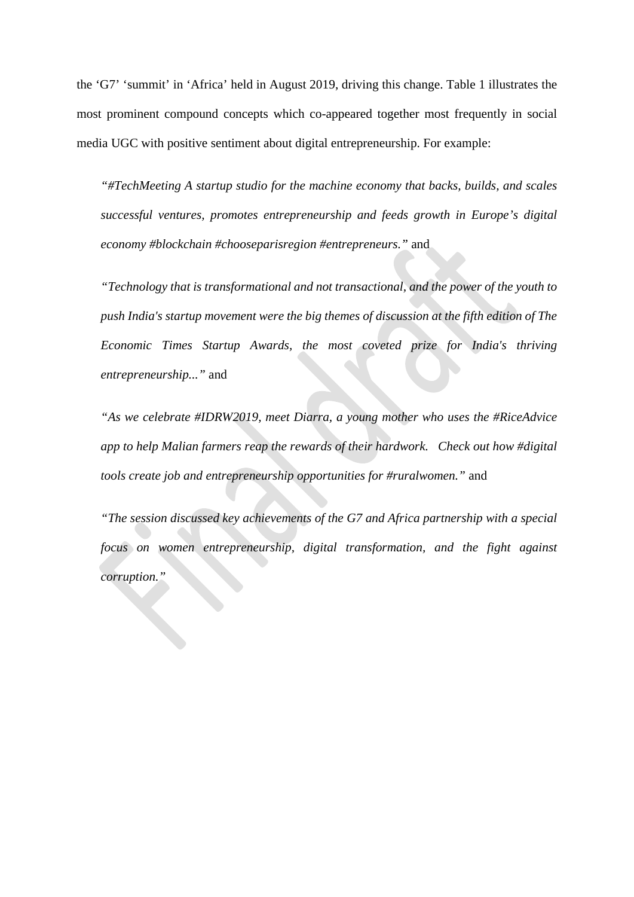the 'G7' 'summit' in 'Africa' held in August 2019, driving this change. Table 1 illustrates the most prominent compound concepts which co-appeared together most frequently in social media UGC with positive sentiment about digital entrepreneurship. For example:

*"#TechMeeting A startup studio for the machine economy that backs, builds, and scales successful ventures, promotes entrepreneurship and feeds growth in Europe's digital economy #blockchain #chooseparisregion #entrepreneurs."* and

*"Technology that is transformational and not transactional, and the power of the youth to push India's startup movement were the big themes of discussion at the fifth edition of The Economic Times Startup Awards, the most coveted prize for India's thriving entrepreneurship..."* and

*"As we celebrate #IDRW2019, meet Diarra, a young mother who uses the #RiceAdvice app to help Malian farmers reap the rewards of their hardwork. Check out how #digital tools create job and entrepreneurship opportunities for #ruralwomen."* and

*"The session discussed key achievements of the G7 and Africa partnership with a special focus on women entrepreneurship, digital transformation, and the fight against corruption."*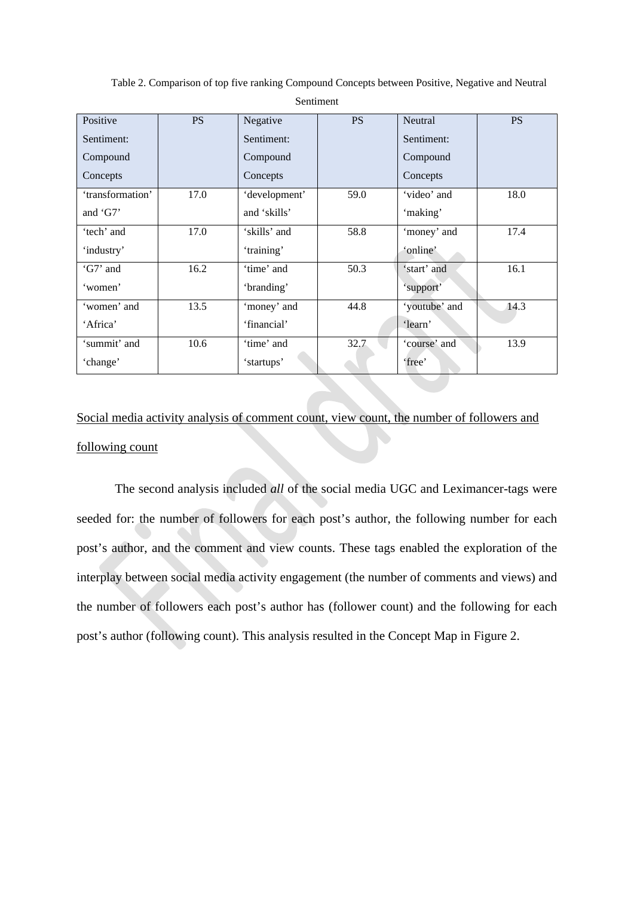| Positive         | <b>PS</b> | Negative      | <b>PS</b> | Neutral       | <b>PS</b> |
|------------------|-----------|---------------|-----------|---------------|-----------|
| Sentiment:       |           | Sentiment:    |           | Sentiment:    |           |
| Compound         |           | Compound      |           | Compound      |           |
| Concepts         |           | Concepts      |           | Concepts      |           |
| 'transformation' | 17.0      | 'development' | 59.0      | 'video' and   | 18.0      |
| and $'GT'$       |           | and 'skills'  |           | 'making'      |           |
| 'tech' and       | 17.0      | 'skills' and  | 58.8      | 'money' and   | 17.4      |
| 'industry'       |           | 'training'    |           | 'online'      |           |
| 'G7' and         | 16.2      | 'time' and    | 50.3      | 'start' and   | 16.1      |
| 'women'          |           | 'branding'    |           | 'support'     |           |
| 'women' and      | 13.5      | 'money' and   | 44.8      | 'youtube' and | 14.3      |
| 'Africa'         |           | 'financial'   |           | 'learn'       |           |
| 'summit' and     | 10.6      | 'time' and    | 32.7      | 'course' and  | 13.9      |
| 'change'         |           | 'startups'    |           | 'free'        |           |

Table 2. Comparison of top five ranking Compound Concepts between Positive, Negative and Neutral Sentiment

# Social media activity analysis of comment count, view count, the number of followers and following count

The second analysis included *all* of the social media UGC and Leximancer-tags were seeded for: the number of followers for each post's author, the following number for each post's author, and the comment and view counts. These tags enabled the exploration of the interplay between social media activity engagement (the number of comments and views) and the number of followers each post's author has (follower count) and the following for each post's author (following count). This analysis resulted in the Concept Map in Figure 2.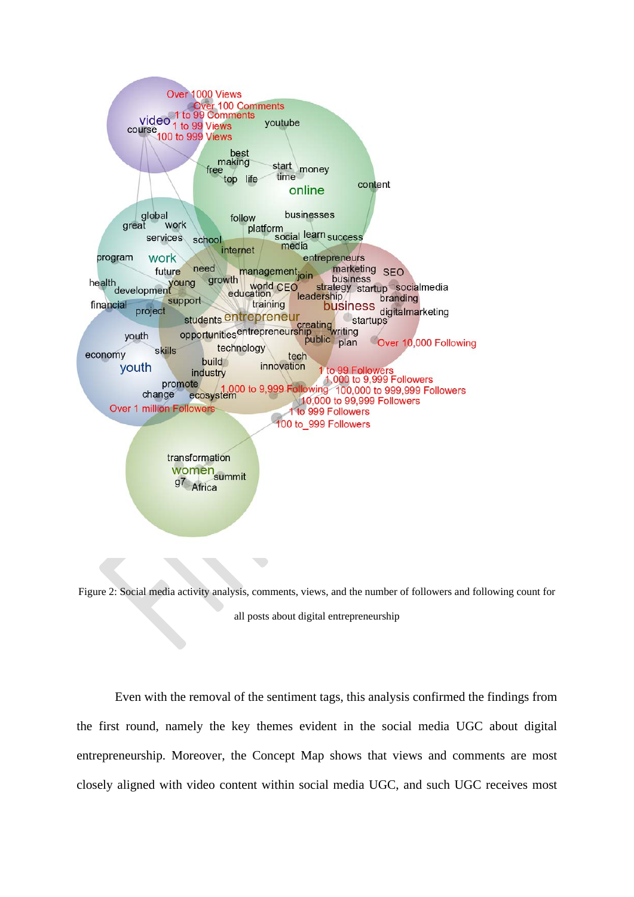

transformation women<br><sub>07</sub><br>a<sup>7</sup> g7 Africa

Figure 2: Social media activity analysis, comments, views, and the number of followers and following count for all posts about digital entrepreneurship

Even with the removal of the sentiment tags, this analysis confirmed the findings from the first round, namely the key themes evident in the social media UGC about digital entrepreneurship. Moreover, the Concept Map shows that views and comments are most closely aligned with video content within social media UGC, and such UGC receives most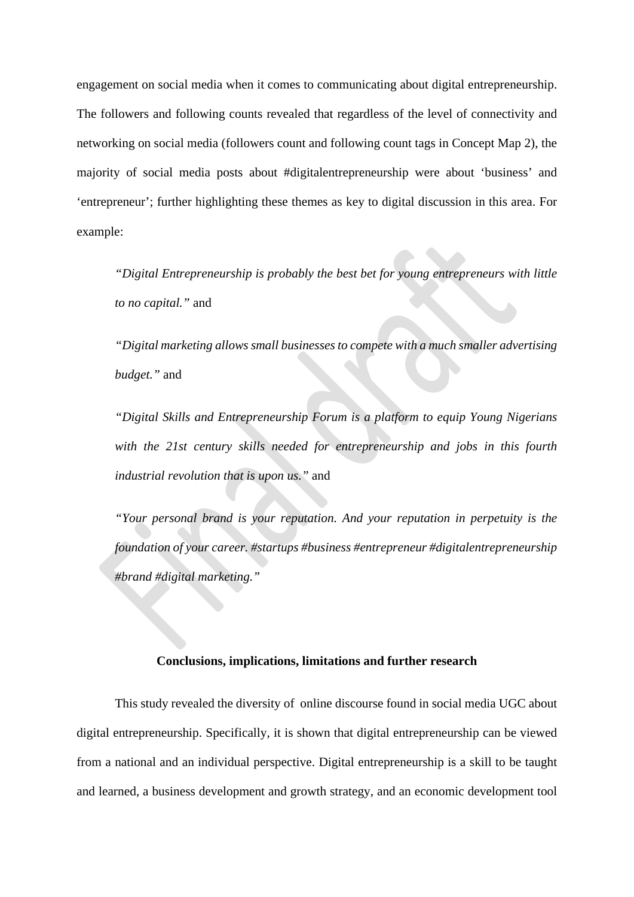engagement on social media when it comes to communicating about digital entrepreneurship. The followers and following counts revealed that regardless of the level of connectivity and networking on social media (followers count and following count tags in Concept Map 2), the majority of social media posts about #digitalentrepreneurship were about 'business' and 'entrepreneur'; further highlighting these themes as key to digital discussion in this area. For example:

*"Digital Entrepreneurship is probably the best bet for young entrepreneurs with little to no capital."* and

*"Digital marketing allows small businesses to compete with a much smaller advertising budget."* and

*"Digital Skills and Entrepreneurship Forum is a platform to equip Young Nigerians with the 21st century skills needed for entrepreneurship and jobs in this fourth industrial revolution that is upon us."* and

*"Your personal brand is your reputation. And your reputation in perpetuity is the foundation of your career. #startups #business #entrepreneur #digitalentrepreneurship #brand #digital marketing."*

# **Conclusions, implications, limitations and further research**

This study revealed the diversity of online discourse found in social media UGC about digital entrepreneurship. Specifically, it is shown that digital entrepreneurship can be viewed from a national and an individual perspective. Digital entrepreneurship is a skill to be taught and learned, a business development and growth strategy, and an economic development tool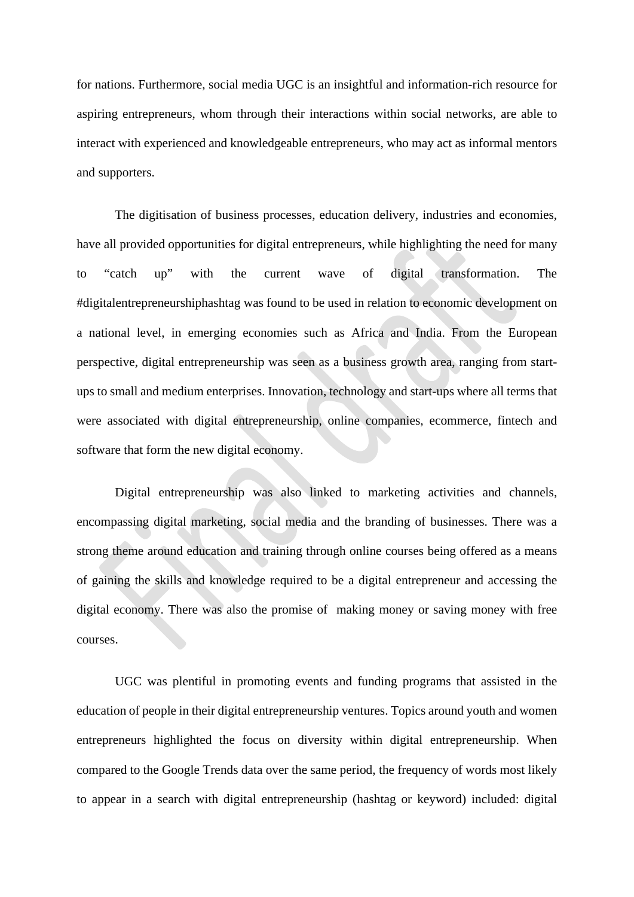for nations. Furthermore, social media UGC is an insightful and information-rich resource for aspiring entrepreneurs, whom through their interactions within social networks, are able to interact with experienced and knowledgeable entrepreneurs, who may act as informal mentors and supporters.

The digitisation of business processes, education delivery, industries and economies, have all provided opportunities for digital entrepreneurs, while highlighting the need for many to "catch up" with the current wave of digital transformation. The #digitalentrepreneurshiphashtag was found to be used in relation to economic development on a national level, in emerging economies such as Africa and India. From the European perspective, digital entrepreneurship was seen as a business growth area, ranging from startups to small and medium enterprises. Innovation, technology and start-ups where all terms that were associated with digital entrepreneurship, online companies, ecommerce, fintech and software that form the new digital economy.

Digital entrepreneurship was also linked to marketing activities and channels, encompassing digital marketing, social media and the branding of businesses. There was a strong theme around education and training through online courses being offered as a means of gaining the skills and knowledge required to be a digital entrepreneur and accessing the digital economy. There was also the promise of making money or saving money with free courses.

UGC was plentiful in promoting events and funding programs that assisted in the education of people in their digital entrepreneurship ventures. Topics around youth and women entrepreneurs highlighted the focus on diversity within digital entrepreneurship. When compared to the Google Trends data over the same period, the frequency of words most likely to appear in a search with digital entrepreneurship (hashtag or keyword) included: digital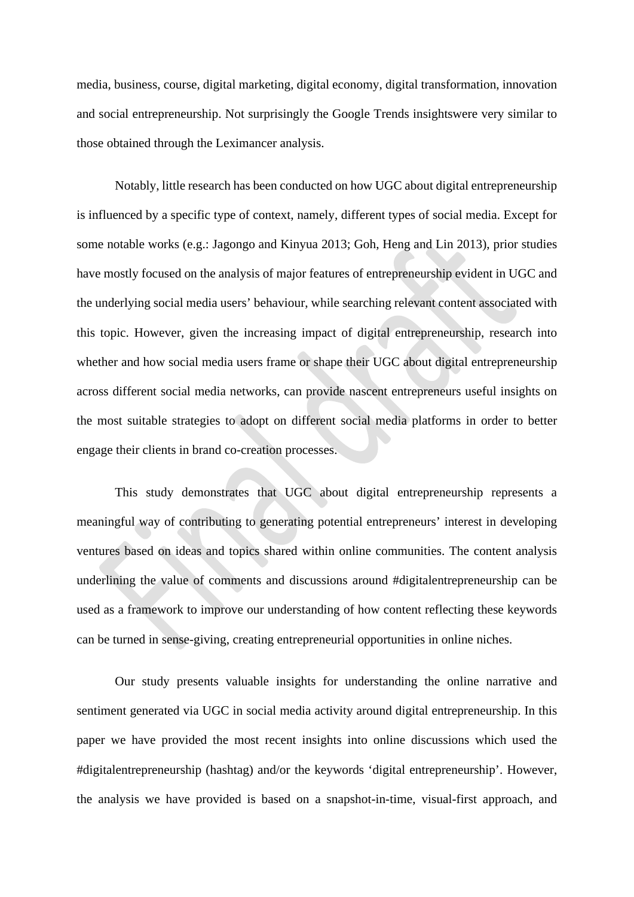media, business, course, digital marketing, digital economy, digital transformation, innovation and social entrepreneurship. Not surprisingly the Google Trends insightswere very similar to those obtained through the Leximancer analysis.

Notably, little research has been conducted on how UGC about digital entrepreneurship is influenced by a specific type of context, namely, different types of social media. Except for some notable works (e.g.: Jagongo and Kinyua 2013; Goh, Heng and Lin 2013), prior studies have mostly focused on the analysis of major features of entrepreneurship evident in UGC and the underlying social media users' behaviour, while searching relevant content associated with this topic. However, given the increasing impact of digital entrepreneurship, research into whether and how social media users frame or shape their UGC about digital entrepreneurship across different social media networks, can provide nascent entrepreneurs useful insights on the most suitable strategies to adopt on different social media platforms in order to better engage their clients in brand co-creation processes.

This study demonstrates that UGC about digital entrepreneurship represents a meaningful way of contributing to generating potential entrepreneurs' interest in developing ventures based on ideas and topics shared within online communities. The content analysis underlining the value of comments and discussions around #digitalentrepreneurship can be used as a framework to improve our understanding of how content reflecting these keywords can be turned in sense-giving, creating entrepreneurial opportunities in online niches.

Our study presents valuable insights for understanding the online narrative and sentiment generated via UGC in social media activity around digital entrepreneurship. In this paper we have provided the most recent insights into online discussions which used the #digitalentrepreneurship (hashtag) and/or the keywords 'digital entrepreneurship'. However, the analysis we have provided is based on a snapshot-in-time, visual-first approach, and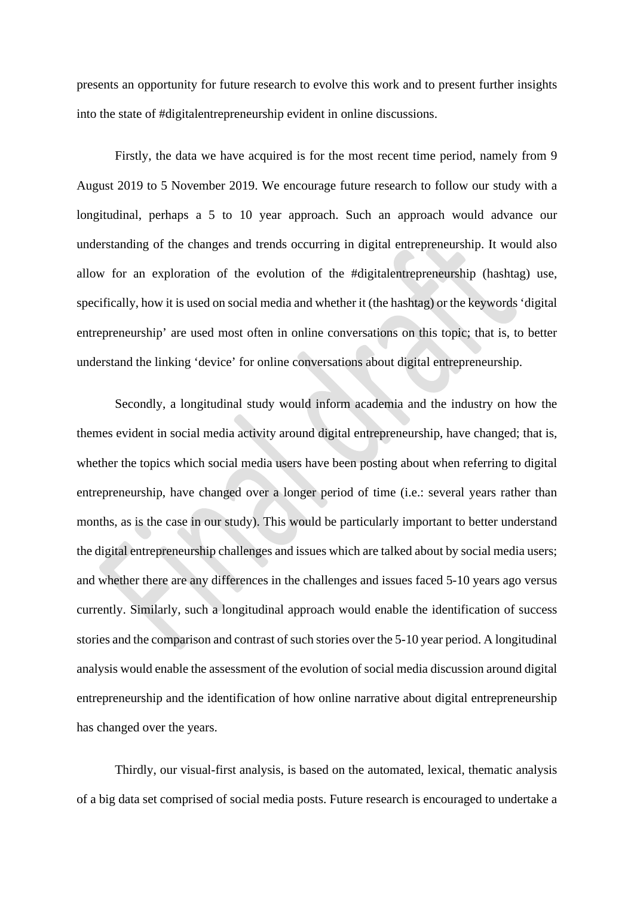presents an opportunity for future research to evolve this work and to present further insights into the state of #digitalentrepreneurship evident in online discussions.

Firstly, the data we have acquired is for the most recent time period, namely from 9 August 2019 to 5 November 2019. We encourage future research to follow our study with a longitudinal, perhaps a 5 to 10 year approach. Such an approach would advance our understanding of the changes and trends occurring in digital entrepreneurship. It would also allow for an exploration of the evolution of the #digitalentrepreneurship (hashtag) use, specifically, how it is used on social media and whether it (the hashtag) or the keywords 'digital entrepreneurship' are used most often in online conversations on this topic; that is, to better understand the linking 'device' for online conversations about digital entrepreneurship.

Secondly, a longitudinal study would inform academia and the industry on how the themes evident in social media activity around digital entrepreneurship, have changed; that is, whether the topics which social media users have been posting about when referring to digital entrepreneurship, have changed over a longer period of time (i.e.: several years rather than months, as is the case in our study). This would be particularly important to better understand the digital entrepreneurship challenges and issues which are talked about by social media users; and whether there are any differences in the challenges and issues faced 5-10 years ago versus currently. Similarly, such a longitudinal approach would enable the identification of success stories and the comparison and contrast of such stories over the 5-10 year period. A longitudinal analysis would enable the assessment of the evolution of social media discussion around digital entrepreneurship and the identification of how online narrative about digital entrepreneurship has changed over the years.

Thirdly, our visual-first analysis, is based on the automated, lexical, thematic analysis of a big data set comprised of social media posts. Future research is encouraged to undertake a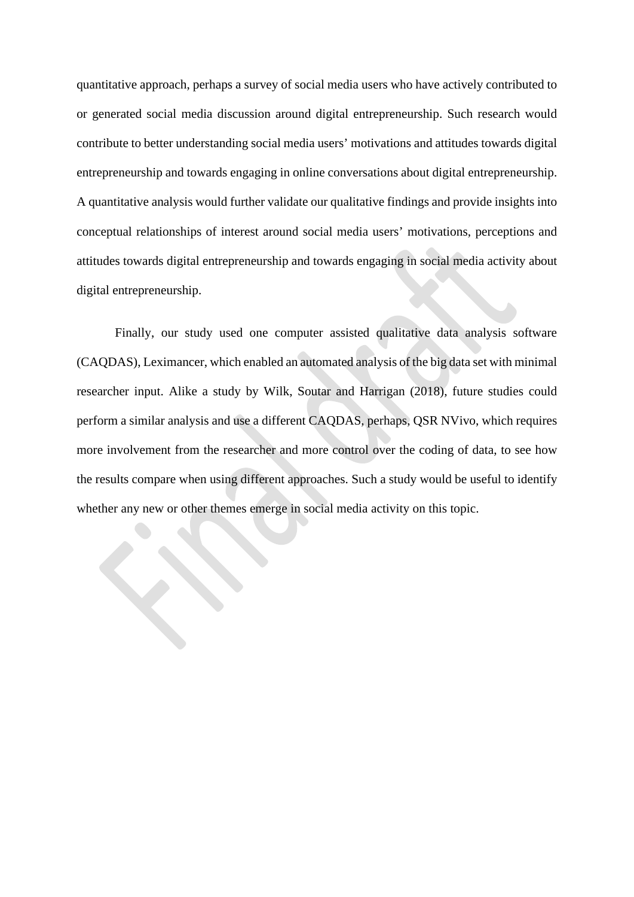quantitative approach, perhaps a survey of social media users who have actively contributed to or generated social media discussion around digital entrepreneurship. Such research would contribute to better understanding social media users' motivations and attitudes towards digital entrepreneurship and towards engaging in online conversations about digital entrepreneurship. A quantitative analysis would further validate our qualitative findings and provide insights into conceptual relationships of interest around social media users' motivations, perceptions and attitudes towards digital entrepreneurship and towards engaging in social media activity about digital entrepreneurship.

Finally, our study used one computer assisted qualitative data analysis software (CAQDAS), Leximancer, which enabled an automated analysis of the big data set with minimal researcher input. Alike a study by Wilk, Soutar and Harrigan (2018), future studies could perform a similar analysis and use a different CAQDAS, perhaps, QSR NVivo, which requires more involvement from the researcher and more control over the coding of data, to see how the results compare when using different approaches. Such a study would be useful to identify whether any new or other themes emerge in social media activity on this topic.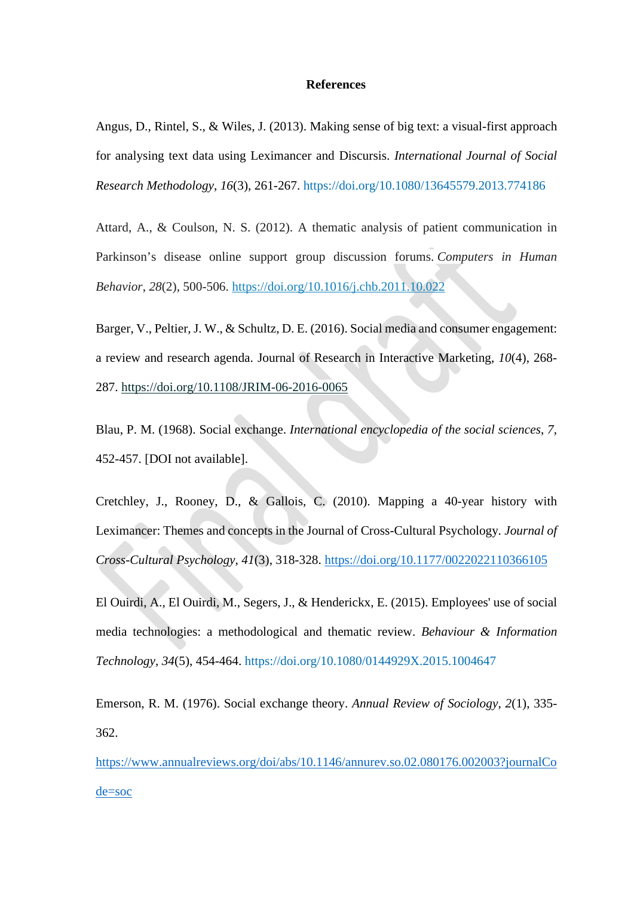#### **References**

Angus, D., Rintel, S., & Wiles, J. (2013). Making sense of big text: a visual-first approach for analysing text data using Leximancer and Discursis. *International Journal of Social Research Methodology*, *16*(3), 261-267.<https://doi.org/10.1080/13645579.2013.774186>

Attard, A., & Coulson, N. S. (2012). A thematic analysis of patient communication in Parkinson's disease online support group discussion forums. *Computers in Human Behavior*, *28*(2), 500-506. <https://doi.org/10.1016/j.chb.2011.10.022>

Barger, V., Peltier, J. W., & Schultz, D. E. (2016). Social media and consumer engagement: a review and research agenda. Journal of Research in Interactive Marketing, *10*(4), 268- 287. <https://doi.org/10.1108/JRIM-06-2016-0065>

Blau, P. M. (1968). Social exchange. *International encyclopedia of the social sciences*, *7*, 452-457. [DOI not available].

Cretchley, J., Rooney, D., & Gallois, C. (2010). Mapping a 40-year history with Leximancer: Themes and concepts in the Journal of Cross-Cultural Psychology*. Journal of Cross-Cultural Psychology*, *41*(3), 318-328. [https://doi.org/10.1177/0022022110366105](https://doi.org/10.1177%2F0022022110366105)

El Ouirdi, A., El Ouirdi, M., Segers, J., & Henderickx, E. (2015). Employees' use of social media technologies: a methodological and thematic review. *Behaviour & Information Technology*, *34*(5), 454-464. <https://doi.org/10.1080/0144929X.2015.1004647>

Emerson, R. M. (1976). Social exchange theory. *Annual Review of Sociology*, *2*(1), 335- 362.

[https://www.annualreviews.org/doi/abs/10.1146/annurev.so.02.080176.002003?journalCo](https://www.annualreviews.org/doi/abs/10.1146/annurev.so.02.080176.002003?journalCode=soc) [de=soc](https://www.annualreviews.org/doi/abs/10.1146/annurev.so.02.080176.002003?journalCode=soc)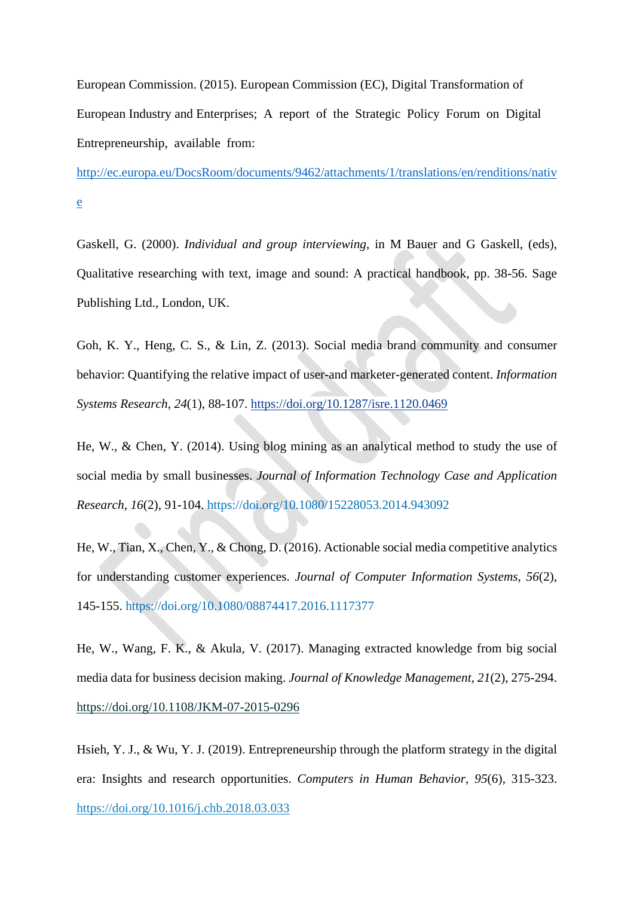European Commission. (2015). European Commission (EC), Digital Transformation of European Industry and Enterprises; A report of the Strategic Policy Forum on Digital Entrepreneurship, available from:

[http://ec.europa.eu/DocsRoom/documents/9462/attachments/1/translations/en/renditions/nativ](http://ec.europa.eu/DocsRoom/documents/9462/attachments/1/translations/en/renditions/native) [e](http://ec.europa.eu/DocsRoom/documents/9462/attachments/1/translations/en/renditions/native)

Gaskell, G. (2000). *Individual and group interviewing*, in M Bauer and G Gaskell, (eds), Qualitative researching with text, image and sound: A practical handbook, pp. 38-56. Sage Publishing Ltd., London, UK.

Goh, K. Y., Heng, C. S., & Lin, Z. (2013). Social media brand community and consumer behavior: Quantifying the relative impact of user-and marketer-generated content. *Information Systems Research*, *24*(1), 88-107. <https://doi.org/10.1287/isre.1120.0469>

He, W., & Chen, Y. (2014). Using blog mining as an analytical method to study the use of social media by small businesses. *Journal of Information Technology Case and Application Research*, *16*(2), 91-104. <https://doi.org/10.1080/15228053.2014.943092>

He, W., Tian, X., Chen, Y., & Chong, D. (2016). Actionable social media competitive analytics for understanding customer experiences. *Journal of Computer Information Systems*, *56*(2), 145-155. <https://doi.org/10.1080/08874417.2016.1117377>

He, W., Wang, F. K., & Akula, V. (2017). Managing extracted knowledge from big social media data for business decision making. *Journal of Knowledge Management*, *21*(2), 275-294. <https://doi.org/10.1108/JKM-07-2015-0296>

Hsieh, Y. J., & Wu, Y. J. (2019). Entrepreneurship through the platform strategy in the digital era: Insights and research opportunities. *Computers in Human Behavior*, *95*(6), 315-323. <https://doi.org/10.1016/j.chb.2018.03.033>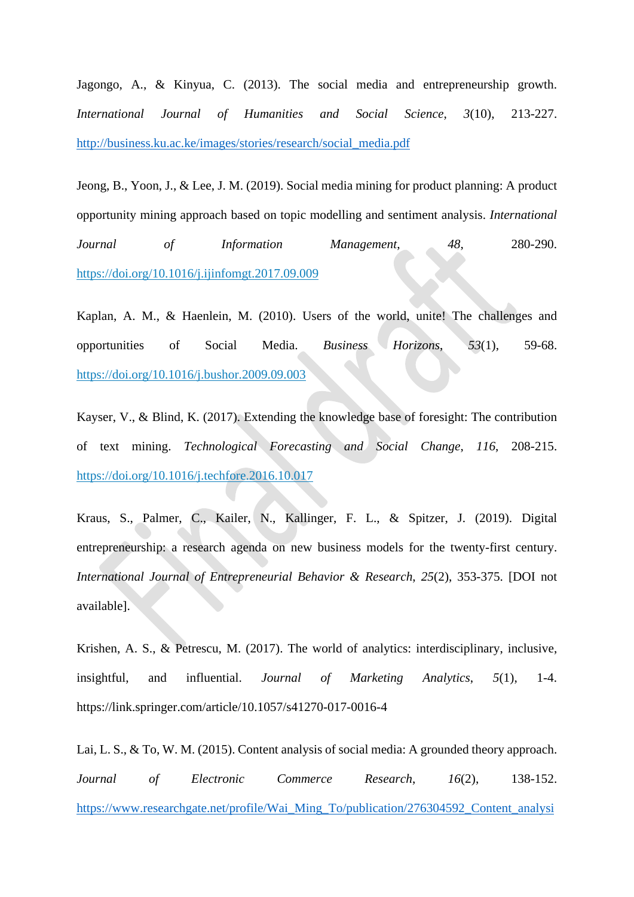Jagongo, A., & Kinyua, C. (2013). The social media and entrepreneurship growth. *International Journal of Humanities and Social Science*, *3*(10), 213-227. [http://business.ku.ac.ke/images/stories/research/social\\_media.pdf](http://business.ku.ac.ke/images/stories/research/social_media.pdf)

Jeong, B., Yoon, J., & Lee, J. M. (2019). Social media mining for product planning: A product opportunity mining approach based on topic modelling and sentiment analysis. *International Journal of Information Management*, *48*, 280-290. <https://doi.org/10.1016/j.ijinfomgt.2017.09.009>

Kaplan, A. M., & Haenlein, M. (2010). Users of the world, unite! The challenges and opportunities of Social Media. *Business Horizons*, *53*(1), 59-68. <https://doi.org/10.1016/j.bushor.2009.09.003>

Kayser, V., & Blind, K. (2017). Extending the knowledge base of foresight: The contribution of text mining. *Technological Forecasting and Social Change*, *116*, 208-215. <https://doi.org/10.1016/j.techfore.2016.10.017>

Kraus, S., Palmer, C., Kailer, N., Kallinger, F. L., & Spitzer, J. (2019). Digital entrepreneurship: a research agenda on new business models for the twenty-first century. *International Journal of Entrepreneurial Behavior & Research*, *25*(2), 353-375. [DOI not available].

Krishen, A. S., & Petrescu, M. (2017). The world of analytics: interdisciplinary, inclusive, insightful, and influential. *Journal of Marketing Analytics*, *5*(1), 1-4. https://link.springer.com/article/10.1057/s41270-017-0016-4

Lai, L. S., & To, W. M. (2015). Content analysis of social media: A grounded theory approach. *Journal of Electronic Commerce Research*, *16*(2), 138-152. [https://www.researchgate.net/profile/Wai\\_Ming\\_To/publication/276304592\\_Content\\_analysi](https://www.researchgate.net/profile/Wai_Ming_To/publication/276304592_Content_analysis_of_social_media_A_grounded_theory_approach/links/5753f39008ae10d933755285/Content-analysis-of-social-media-A-grounded-theory-approach.pdf)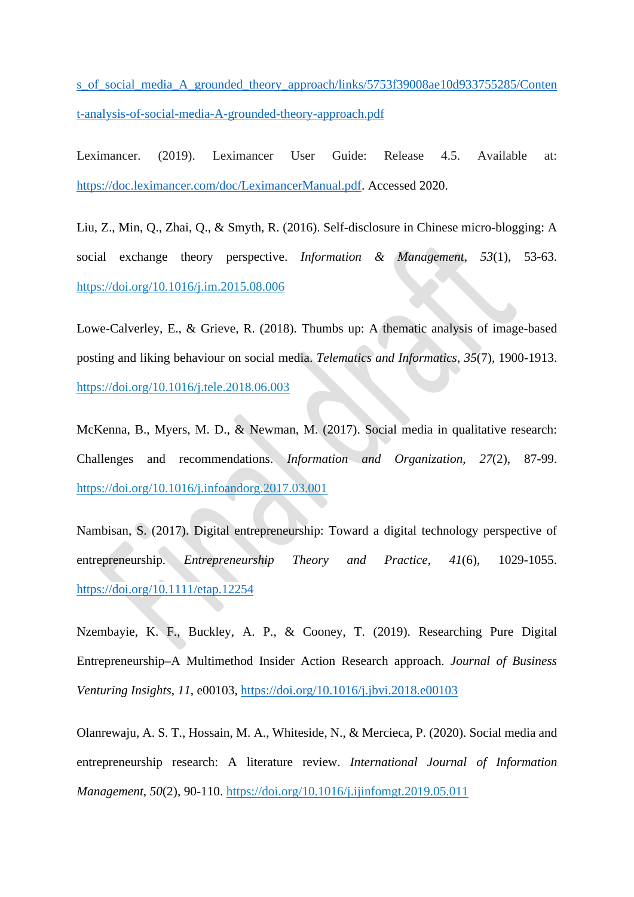[s\\_of\\_social\\_media\\_A\\_grounded\\_theory\\_approach/links/5753f39008ae10d933755285/Conten](https://www.researchgate.net/profile/Wai_Ming_To/publication/276304592_Content_analysis_of_social_media_A_grounded_theory_approach/links/5753f39008ae10d933755285/Content-analysis-of-social-media-A-grounded-theory-approach.pdf) [t-analysis-of-social-media-A-grounded-theory-approach.pdf](https://www.researchgate.net/profile/Wai_Ming_To/publication/276304592_Content_analysis_of_social_media_A_grounded_theory_approach/links/5753f39008ae10d933755285/Content-analysis-of-social-media-A-grounded-theory-approach.pdf)

Leximancer. (2019). Leximancer User Guide: Release 4.5. Available at: [https://doc.leximancer.com/doc/LeximancerManual.pdf.](https://doc.leximancer.com/doc/LeximancerManual.pdf) Accessed 2020.

Liu, Z., Min, Q., Zhai, Q., & Smyth, R. (2016). Self-disclosure in Chinese micro-blogging: A social exchange theory perspective. *Information & Management*, *53*(1), 53-63. <https://doi.org/10.1016/j.im.2015.08.006>

Lowe-Calverley, E., & Grieve, R. (2018). Thumbs up: A thematic analysis of image-based posting and liking behaviour on social media. *Telematics and Informatics*, *35*(7), 1900-1913. <https://doi.org/10.1016/j.tele.2018.06.003>

McKenna, B., Myers, M. D., & Newman, M. (2017). Social media in qualitative research: Challenges and recommendations. *Information and Organization*, *27*(2), 87-99. <https://doi.org/10.1016/j.infoandorg.2017.03.001>

Nambisan, S. (2017). Digital entrepreneurship: Toward a digital technology perspective of entrepreneurship. *Entrepreneurship Theory and Practice*, *41*(6), 1029-1055. [https://doi.org/10.1111/etap.12254](https://doi.org/10.1111%2Fetap.12254)

Nzembayie, K. F., Buckley, A. P., & Cooney, T. (2019). Researching Pure Digital Entrepreneurship–A Multimethod Insider Action Research approach. *Journal of Business Venturing Insights*, *11*, e00103,<https://doi.org/10.1016/j.jbvi.2018.e00103>

Olanrewaju, A. S. T., Hossain, M. A., Whiteside, N., & Mercieca, P. (2020). Social media and entrepreneurship research: A literature review. *International Journal of Information Management*, *50*(2), 90-110. <https://doi.org/10.1016/j.ijinfomgt.2019.05.011>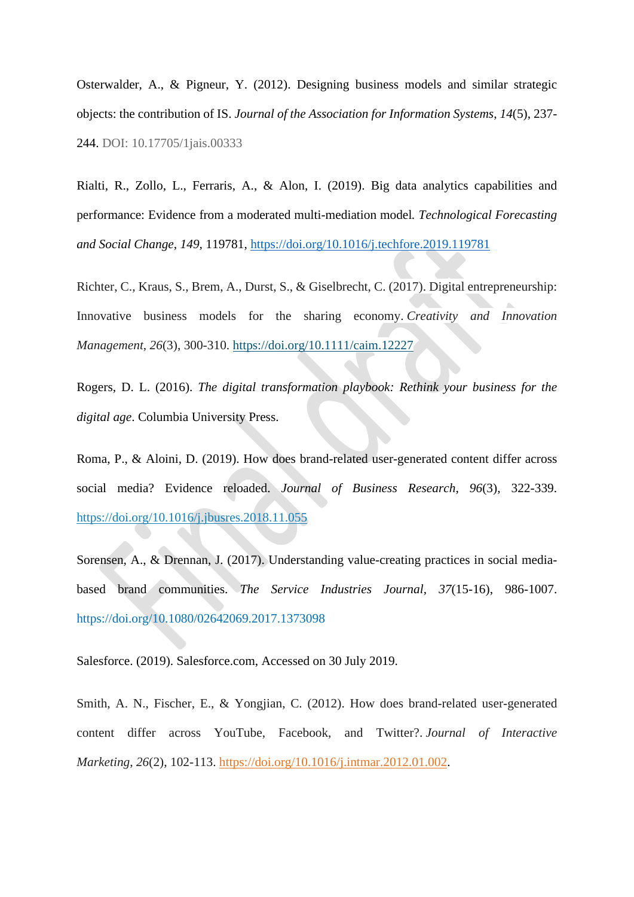Osterwalder, A., & Pigneur, Y. (2012). Designing business models and similar strategic objects: the contribution of IS. *Journal of the Association for Information Systems*, *14*(5), 237- 244. DOI: 10.17705/1jais.00333

Rialti, R., Zollo, L., Ferraris, A., & Alon, I. (2019). Big data analytics capabilities and performance: Evidence from a moderated multi-mediation model*. Technological Forecasting and Social Change*, *149,* 119781,<https://doi.org/10.1016/j.techfore.2019.119781>

Richter, C., Kraus, S., Brem, A., Durst, S., & Giselbrecht, C. (2017). Digital entrepreneurship: Innovative business models for the sharing economy. *Creativity and Innovation Management*, *26*(3), 300-310. <https://doi.org/10.1111/caim.12227>

Rogers, D. L. (2016). *The digital transformation playbook: Rethink your business for the digital age*. Columbia University Press.

Roma, P., & Aloini, D. (2019). How does brand-related user-generated content differ across social media? Evidence reloaded. *Journal of Business Research*, *96*(3), 322-339. <https://doi.org/10.1016/j.jbusres.2018.11.055>

Sorensen, A., & Drennan, J. (2017). Understanding value-creating practices in social mediabased brand communities. *The Service Industries Journal*, *37*(15-16), 986-1007. <https://doi.org/10.1080/02642069.2017.1373098>

Salesforce. (2019). Salesforce.com, Accessed on 30 July 2019.

Smith, A. N., Fischer, E., & Yongjian, C. (2012). How does brand-related user-generated content differ across YouTube, Facebook, and Twitter?. *Journal of Interactive Marketing*, *26*(2), 102-113. [https://doi.org/10.1016/j.intmar.2012.01.002.](https://doi.org/10.1016/j.intmar.2012.01.002)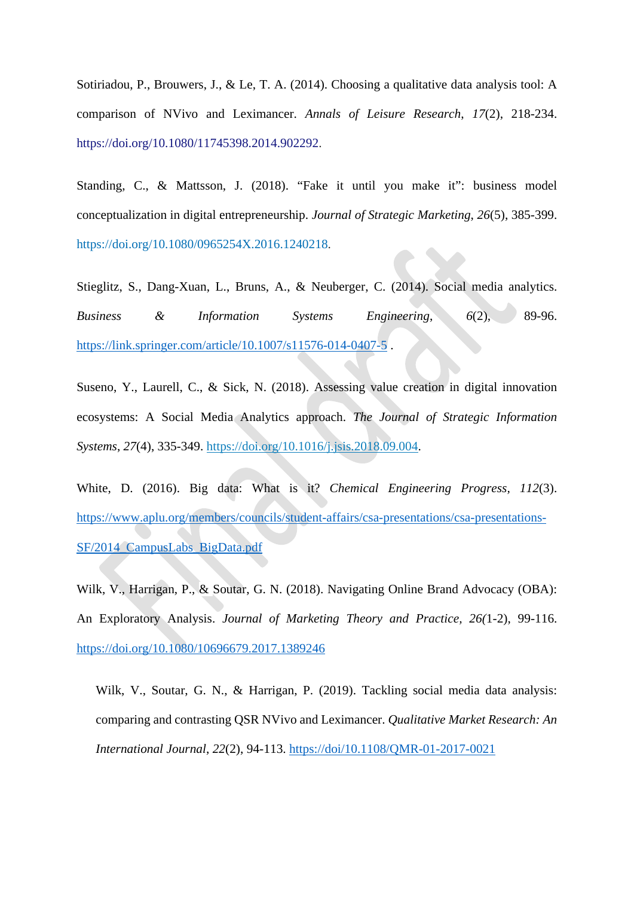Sotiriadou, P., Brouwers, J., & Le, T. A. (2014). Choosing a qualitative data analysis tool: A comparison of NVivo and Leximancer. *Annals of Leisure Research*, *17*(2), 218-234. [https://doi.org/10.1080/11745398.2014.902292.](https://doi.org/10.1080/11745398.2014.902292)

Standing, C., & Mattsson, J. (2018). "Fake it until you make it": business model conceptualization in digital entrepreneurship. *Journal of Strategic Marketing*, *26*(5), 385-399. [https://doi.org/10.1080/0965254X.2016.1240218.](https://doi.org/10.1080/0965254X.2016.1240218)

Stieglitz, S., Dang-Xuan, L., Bruns, A., & Neuberger, C. (2014). Social media analytics. *Business & Information Systems Engineering*, *6*(2), 89-96. <https://link.springer.com/article/10.1007/s11576-014-0407-5> .

Suseno, Y., Laurell, C., & Sick, N. (2018). Assessing value creation in digital innovation ecosystems: A Social Media Analytics approach. *The Journal of Strategic Information Systems*, *27*(4), 335-349. [https://doi.org/10.1016/j.jsis.2018.09.004.](https://doi.org/10.1016/j.jsis.2018.09.004)

White, D. (2016). Big data: What is it? *Chemical Engineering Progress, 112*(3). [https://www.aplu.org/members/councils/student-affairs/csa-presentations/csa-presentations-](https://www.aplu.org/members/councils/student-affairs/csa-presentations/csa-presentations-SF/2014_CampusLabs_BigData.pdf)[SF/2014\\_CampusLabs\\_BigData.pdf](https://www.aplu.org/members/councils/student-affairs/csa-presentations/csa-presentations-SF/2014_CampusLabs_BigData.pdf)

Wilk, V., Harrigan, P., & Soutar, G. N. (2018). Navigating Online Brand Advocacy (OBA): An Exploratory Analysis. *Journal of Marketing Theory and Practice, 26(*1-2), 99-116. <https://doi.org/10.1080/10696679.2017.1389246>

Wilk, V., Soutar, G. N., & Harrigan, P. (2019). Tackling social media data analysis: comparing and contrasting QSR NVivo and Leximancer. *Qualitative Market Research: An International Journal*, *22*(2), 94-113.<https://doi/10.1108/QMR-01-2017-0021>